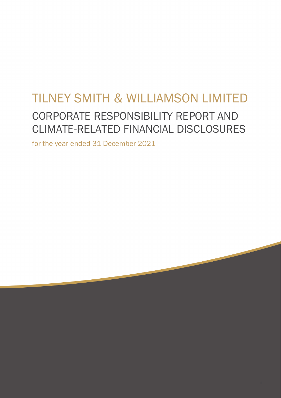# TILNEY SMITH & WILLIAMSON LIMITED CORPORATE RESPONSIBILITY REPORT AND CLIMATE-RELATED FINANCIAL DISCLOSURES

for the year ended 31 December 2021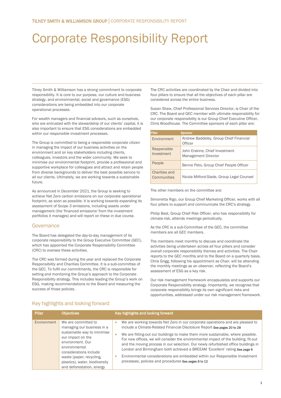# Corporate Responsibility Report

Tilney Smith & Williamson has a strong commitment to corporate responsibility. It is core to our purpose, our culture and business strategy, and environmental, social and governance (ESG) considerations are being embedded into our corporate operational processes.

For wealth managers and financial advisors, such as ourselves, who are entrusted with the stewardship of our clients' capital, it is also important to ensure that ESG considerations are embedded within our responsible investment processes.

The Group is committed to being a responsible corporate citizen in managing the impact of our business activities on the environment and on key stakeholders including clients, colleagues, investors and the wider community. We seek to minimise our environmental footprint, provide a professional and supportive workplace for colleagues and attract and retain people from diverse backgrounds to deliver the best possible service to all our clients. Ultimately, we are working towards a sustainable future.

As announced in December 2021, the Group is seeking to achieve Net Zero carbon emissions on our corporate operational footprint, as soon as possible. It is working towards expanding its assessment of Scope 3 emissions, including assets under management (the 'financed emissions' from the investment portfolios it manages) and will report on these in due course.

# Governance

The Board has delegated the day-to-day management of its corporate responsibility to the Group Executive Committee (GEC), which has appointed the Corporate Responsibility Committee (CRC) to oversee these activities.

The CRC was formed during the year and replaced the Corporate Responsibility and Charities Committee. It is a sub-committee of the GEC. To fulfil our commitments, the CRC is responsible for setting and monitoring the Group's approach to the Corporate Responsibility strategy. This includes leading the Group's work on ESG, making recommendations to the Board and measuring the success of those policies.

The CRC activities are coordinated by the Chair and divided into four pillars to ensure that all the objectives of each pillar are considered across the entire business.

Susan Shaw, Chief Professional Services Director, is Chair of the CRC. The Board and GEC member with ultimate responsibility for our corporate responsibility is our Group Chief Executive Officer, Chris Woodhouse. The Committee sponsors of each pillar are:

| <b>Pillar</b> |                              | <b>Sponsor</b>                                               |
|---------------|------------------------------|--------------------------------------------------------------|
|               | Environment                  | Andrew Baddeley, Group Chief Financial<br>Officer            |
|               | Responsible<br>Investment    | John Erskine, Chief Investment<br><b>Management Director</b> |
|               | People                       | Benne Peto, Group Chief People Officer                       |
|               | Charities and<br>Communities | Nicola Mitford-Slade, Group Legal Counsel                    |

The other members on the committee are:

Simonetta Rigo, our Group Chief Marketing Officer, works with all four pillars to support and communicate the CRC's strategy.

Philip Best, Group Chief Risk Officer, who has responsibility for climate-risk, attends meetings periodically.

As the CRC is a sub-Committee of the GEC, the committee members are all GEC members.

The members meet monthly to discuss and coordinate the activities being undertaken across all four pillars and consider overall corporate responsibility themes and activities. The Chair reports to the GEC monthly and to the Board on a quarterly basis. Chris Grigg, following his appointment as Chair, will be attending the monthly meetings as an observer, reflecting the Board's assessment of ESG as a key risk.

Our risk management framework encapsulates and supports our Corporate Responsibility strategy. Importantly, we recognise that corporate responsibility brings its own significant risks and opportunities, addressed under our risk management framework.

| Pillar      | <b>Objectives</b>                                                                                                                                                                                          | Key highlights and looking forward                                                                                                                                                                                                                                                                                                                                                                                                                                                |
|-------------|------------------------------------------------------------------------------------------------------------------------------------------------------------------------------------------------------------|-----------------------------------------------------------------------------------------------------------------------------------------------------------------------------------------------------------------------------------------------------------------------------------------------------------------------------------------------------------------------------------------------------------------------------------------------------------------------------------|
| Environment | We are committed to<br>managing our business in a                                                                                                                                                          | We are working towards Net Zero in our corporate operations and are pleased to<br>۰<br>include a Climate-Related Financial Disclosure Report See pages 20 to 28                                                                                                                                                                                                                                                                                                                   |
|             | sustainable way to minimise<br>our impact on the<br>environment, Our<br>environmental<br>considerations include<br>waste (paper, recycling,<br>plastics), water, biodiversity<br>and deforestation, energy | We are fitting-out our buildings to make them more sustainable, where possible.<br>For new offices, we will consider the environmental impact of the building, fit-out<br>and the moving process in our selection. Our newly refurbished office buildings in<br>London and Birmingham both achieved a BREEAM 'Excellent' rating See page 6<br>Environmental considerations are embedded within our Responsible Investment<br>processes, policies and procedures See pages 8 to 12 |

# Key highlights and looking forward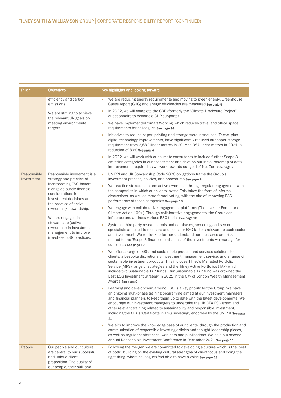| Pillar                    | <b>Objectives</b>                                                                                                                                                                                                                                                                          | Key highlights and looking forward                                                                                                                                                                                                                                                                                                                                                                                                                                                                             |
|---------------------------|--------------------------------------------------------------------------------------------------------------------------------------------------------------------------------------------------------------------------------------------------------------------------------------------|----------------------------------------------------------------------------------------------------------------------------------------------------------------------------------------------------------------------------------------------------------------------------------------------------------------------------------------------------------------------------------------------------------------------------------------------------------------------------------------------------------------|
|                           | efficiency and carbon<br>emissions.                                                                                                                                                                                                                                                        | We are reducing energy requirements and moving to green energy. Greenhouse<br>Gases report (GHG) and energy efficiencies are measured See page 5                                                                                                                                                                                                                                                                                                                                                               |
|                           | We are striving to achieve<br>the relevant UN goals on<br>meeting environmental<br>targets.                                                                                                                                                                                                | In 2022, we will complete the CDP (formerly the 'Climate Disclosure Project')<br>$\bullet$<br>questionnaire to become a CDP supporter                                                                                                                                                                                                                                                                                                                                                                          |
|                           |                                                                                                                                                                                                                                                                                            | We have implemented 'Smart Working' which reduces travel and office space<br>$\bullet$<br>requirements for colleagues See page 14                                                                                                                                                                                                                                                                                                                                                                              |
|                           |                                                                                                                                                                                                                                                                                            | Initiatives to reduce paper, printing and storage were introduced. These, plus<br>$\bullet$<br>digital technology improvements, have significantly reduced our paper storage<br>requirement from 3,682 linear metres in 2018 to 387 linear metres in 2021, a<br>reduction of 89% See page 4                                                                                                                                                                                                                    |
|                           |                                                                                                                                                                                                                                                                                            | In 2022, we will work with our climate consultants to include further Scope 3<br>$\bullet$<br>emission categories in our assessment and develop our initial roadmap of data<br>improvements required as we work towards our goal of Net Zero See page 7                                                                                                                                                                                                                                                        |
| Responsible<br>investment | Responsible investment is a<br>strategy and practice of                                                                                                                                                                                                                                    | UN PRI and UK Stewardship Code 2020 obligations frame the Group's<br>$\bullet$<br>investment process, policies, and procedures See page 9                                                                                                                                                                                                                                                                                                                                                                      |
|                           | incorporating ESG factors<br>alongside purely financial<br>considerations in<br>investment decisions and<br>the practice of active<br>ownership/stewardship.<br>We are engaged in<br>stewardship (active<br>ownership) in investment<br>management to improve<br>investees' ESG practices. | We practice stewardship and active ownership through regular engagement with<br>$\bullet$<br>the companies in which our clients invest. This takes the form of informal<br>discussions, as well as more formal voting, with the aim of improving ESG<br>performance of those companies See page 10                                                                                                                                                                                                             |
|                           |                                                                                                                                                                                                                                                                                            | We engage with collaborative engagement platforms (The Investor Forum and<br>$\bullet$<br>Climate Action 100+). Through collaborative engagements, the Group can<br>influence and address various ESG topics See page 10                                                                                                                                                                                                                                                                                       |
|                           |                                                                                                                                                                                                                                                                                            | Systems, third-party research tools and databases, screening and sector<br>$\bullet$<br>specialists are used to measure and consider ESG factors relevant to each sector<br>and investment. We will look to further understand our measures and risks<br>related to the 'Scope 3 financed emissions' of the investments we manage for<br>our clients See page 10                                                                                                                                               |
|                           |                                                                                                                                                                                                                                                                                            | We offer a range of ESG and sustainable product and services solutions to<br>clients, a bespoke discretionary investment management service, and a range of<br>sustainable investment products. This includes Tilney's Managed Portfolio<br>Service (MPS) range of strategies and the Tilney Active Portfolios (TAP) which<br>include two Sustainable TAP funds. Our Sustainable TAP fund was crowned the<br>Best ESG Investment Strategy in 2021 in the City of London Wealth Management<br>Awards See page 9 |
|                           |                                                                                                                                                                                                                                                                                            | Learning and development around ESG is a key priority for the Group. We have<br>an ongoing multi-phase training programme aimed at our investment managers<br>and financial planners to keep them up to date with the latest developments. We<br>encourage our investment managers to undertake the UK CFA ESG exam and<br>other relevant training related to sustainability and responsible investment,<br>including the CFA's 'Certificate in ESG Investing', endorsed by the UN PRI See page<br>11          |
|                           |                                                                                                                                                                                                                                                                                            | We aim to improve the knowledge base of our clients, through the production and<br>$\bullet$<br>communication of responsible investing articles and thought leadership pieces,<br>as well as regular conferences, webinars and publications. We held our second<br>Annual Responsible Investment Conference in December 2021 See page 11                                                                                                                                                                       |
| People                    | Our people and our culture<br>are central to our successful<br>and unique client<br>proposition. The quality of<br>our people, their skill and                                                                                                                                             | Following the merger, we are committed to developing a culture which is the 'best<br>$\bullet$<br>of both', building on the existing cultural strengths of client focus and doing the<br>right thing, where colleagues feel able to have a voice See page 13                                                                                                                                                                                                                                                   |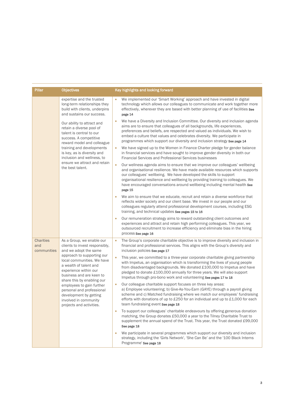| <b>Pillar</b>                          | <b>Objectives</b>                                                                                                                                                     | Key highlights and looking forward                                                                                                                                                                                                                                                                                                                                                                                            |                                                                                                                                                                                                                                      |
|----------------------------------------|-----------------------------------------------------------------------------------------------------------------------------------------------------------------------|-------------------------------------------------------------------------------------------------------------------------------------------------------------------------------------------------------------------------------------------------------------------------------------------------------------------------------------------------------------------------------------------------------------------------------|--------------------------------------------------------------------------------------------------------------------------------------------------------------------------------------------------------------------------------------|
|                                        | expertise and the trusted<br>long-term relationships they<br>build with clients, underpins<br>and sustains our success.                                               | We implemented our 'Smart Working' approach and have invested in digital<br>technology which allows our colleagues to communicate and work together more<br>effectively, wherever they are based with better planning of use of facilities See<br>page 14                                                                                                                                                                     |                                                                                                                                                                                                                                      |
|                                        | Our ability to attract and<br>retain a diverse pool of<br>talent is central to our<br>success. A competitive<br>reward model and colleague                            | We have a Diversity and Inclusion Committee. Our diversity and inclusion agenda<br>$\bullet$<br>aims are to ensure that colleagues of all backgrounds, life experiences,<br>preferences and beliefs, are respected and valued as individuals. We wish to<br>embed a culture that values and celebrates diversity. We participate in<br>programmes which support our diversity and inclusion strategy See page 14              |                                                                                                                                                                                                                                      |
|                                        | training and developments<br>is key, as is diversity and<br>inclusion and wellness, to                                                                                |                                                                                                                                                                                                                                                                                                                                                                                                                               | We have signed up to the Women in Finance Charter pledge for gender balance<br>$\bullet$<br>in financial services and have sought to improve gender diversity in both our<br>Financial Services and Professional Services businesses |
|                                        | ensure we attract and retain<br>the best talent.                                                                                                                      | $\bullet$<br>Our wellness agenda aims to ensure that we improve our colleagues' wellbeing<br>and organisational resilience. We have made available resources which supports<br>our colleagues' wellbeing. We have developed the skills to support<br>organisational resilience and wellbeing by providing training to colleagues. We<br>have encouraged conversations around wellbeing including mental health See<br>page 15 |                                                                                                                                                                                                                                      |
|                                        |                                                                                                                                                                       | We aim to ensure that we educate, recruit and retain a diverse workforce that<br>$\bullet$<br>reflects wider society and our client base. We invest in our people and our<br>colleagues regularly attend professional development courses, including ESG<br>training, and technical updates See pages 15 to 16                                                                                                                |                                                                                                                                                                                                                                      |
|                                        |                                                                                                                                                                       | Our remuneration strategy aims to reward outstanding client outcomes and<br>$\bullet$<br>experiences and attract and retain high performing colleagues. This year, we<br>outsourced recruitment to increase efficiency and eliminate bias in the hiring<br>process See page 16                                                                                                                                                |                                                                                                                                                                                                                                      |
| <b>Charities</b><br>and<br>communities | As a Group, we enable our<br>clients to invest responsibly,<br>and we adopt the same                                                                                  | The Group's corporate charitable objective is to improve diversity and inclusion in<br>$\bullet$<br>financial and professional services. This aligns with the Group's diversity and<br>inclusion policies See page 17                                                                                                                                                                                                         |                                                                                                                                                                                                                                      |
|                                        | approach to supporting our<br>local communities. We have<br>a wealth of talent and<br>experience within our<br>business and are keen to<br>share this by enabling our | This year, we committed to a three-year corporate charitable giving partnership<br>$\bullet$<br>with Impetus, an organisation which is transforming the lives of young people<br>from disadvantaged backgrounds. We donated £100,000 to Impetus and have<br>pledged to donate £100,000 annually for three years. We will also support<br>Impetus through pro-bono work and volunteering See pages 17 to 18                    |                                                                                                                                                                                                                                      |
|                                        | employees to gain further<br>personal and professional<br>development by getting<br>involved in community<br>projects and activities.                                 | Our colleague charitable support focuses on three key areas:<br>$\bullet$<br>a) Employee volunteering; b) Give-As-You-Earn (GAYE) through a payroll giving<br>scheme and c) Matched fundraising where we match our employees' fundraising<br>efforts with donations of up to £250 for an individual and up to £1,000 for each<br>team fundraising event See page 18                                                           |                                                                                                                                                                                                                                      |
|                                        |                                                                                                                                                                       | To support our colleagues' charitable endeavours by offering generous donation<br>$\bullet$<br>matching, the Group donates £50,000 a year to the Tilney Charitable Trust to<br>supplement the annual spend of the Trust. This year, the Trust donated £99,000<br>See page 18                                                                                                                                                  |                                                                                                                                                                                                                                      |
|                                        |                                                                                                                                                                       | We participate in several programmes which support our diversity and inclusion<br>$\bullet$<br>strategy, including the 'Girls Network', 'She Can Be' and the '100 Black Interns<br>Programme' See page 18                                                                                                                                                                                                                     |                                                                                                                                                                                                                                      |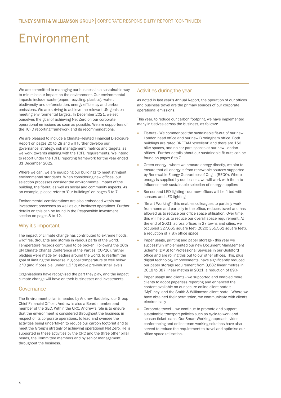# Environment

We are committed to managing our business in a sustainable way to minimise our impact on the environment. Our environmental impacts include waste (paper, recycling, plastics), water, biodiversity and deforestation, energy efficiency and carbon emissions. We are striving to achieve the relevant UN goals on meeting environmental targets. In December 2021, we set ourselves the goal of achieving Net Zero on our corporate operational emissions as soon as possible. We are supporters of the TCFD reporting framework and its recommendations.

We are pleased to include a Climate-Related Financial Disclosure Report on pages 20 to 28 and will further develop our governance, strategy, risk management, metrics and targets, as we work towards aligning with the TCFD requirements. We intend to report under the TCFD reporting framework for the year ended 31 December 2022.

Where we can, we are equipping our buildings to meet stringent environmental standards. When considering new offices, our selection processes consider the environmental impact of the building, the fit-out, as well as social and community aspects. As an example, please refer to 'Our buildings' on pages 6 to 7.

Environmental considerations are also embedded within our investment processes as well as our business operations. Further details on this can be found in the Responsible Investment section on pages 8 to 12.

# Why it's important

The impact of climate change has contributed to extreme floods, wildfires, droughts and storms in various parts of the world. Temperature records continued to be broken. Following the 26th UN Climate Change Conference of the Parties (COP26), further pledges were made by leaders around the world, to reaffirm the goal of limiting the increase in global temperature to well below 2°C (and if possible, under 1.5°C) above pre-industrial levels.

Organisations have recognised the part they play, and the impact climate change will have on their businesses and investments.

# **Governance**

The Environment pillar is headed by Andrew Baddeley, our Group Chief Financial Officer. Andrew is also a Board member and member of the GEC. Within the CRC, Andrew's role is to ensure that the environment is considered throughout the business in respect of its corporate operations, to lead and oversee the activities being undertaken to reduce our carbon footprint and to meet the Group's strategy of achieving operational Net Zero. He is supported in these activities by the CRC and the three other pillar heads, the Committee members and by senior management throughout the business.

# Activities during the year

As noted in last year's Annual Report, the operation of our offices and business travel are the primary sources of our corporate operational emissions.

This year, to reduce our carbon footprint, we have implemented many initiatives across the business, as follows:

- Fit-outs We commenced the sustainable fit-out of our new London head office and our new Birmingham office. Both buildings are rated BREEAM 'excellent' and there are 150 bike spaces, and no car park spaces at our new London offices. Further details about our sustainable fit-outs can be found on pages 6 to 7
- Green energy where we procure energy directly, we aim to ensure that all energy is from renewable sources supported by Renewable Energy Guarantees of Origin (REGO). Where energy is supplied by our lessors, we will work with them to influence their sustainable selection of energy suppliers
- Sensor and LED lighting our new offices will be fitted with sensors and LED lighting
- 'Smart Working' this enables colleagues to partially work from home and partially in the office, reduces travel and has allowed us to reduce our office space utilisation. Over time, this will help us to reduce our overall space requirement. At the end of 2021, across offices in 27 towns and cities, we occupied 327,665 square feet (2020: 355,561 square feet), a reduction of 7.8% office space
- Paper usage, printing and paper storage this year we successfully implemented our new Document Management Scheme (DMS) for Professional Services in our Guildford office and are rolling this out to our other offices. This, plus digital technology improvements, have significantly reduced our paper storage requirement from 3,682 linear metres in 2018 to 387 linear metres in 2021, a reduction of 89%
- Paper usage and clients we supported and enabled more clients to adopt paperless reporting and enhanced the content available on our secure online client portals 'MyTilney' and the Smith & Williamson client portal. Where we have obtained their permission, we communicate with clients electronically
- Corporate travel we continue to promote and support sustainable transport policies such as cycle-to-work and season ticket loans. Our Smart Working approach, video conferencing and online team working solutions have also served to reduce the requirement to travel and optimise our office space utilisation.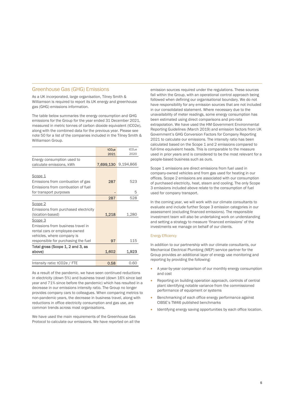# Greenhouse Gas (GHG) Emissions

As a UK incorporated, large organisation, Tilney Smith & Williamson is required to report its UK energy and greenhouse gas (GHG) emissions information.

The table below summaries the energy consumption and GHG emissions for the Group for the year ended 31 December 2021, measured in metric tonnes of carbon dioxide equivalent (tCO2e), along with the combined data for the previous year. Please see note 50 for a list of the companies included in the Tilney Smith & Williamson Group.

|                                      | tCO <sub>2</sub> e | tCO <sub>2</sub> e |
|--------------------------------------|--------------------|--------------------|
|                                      | 2021               | 2020               |
| Energy consumption used to           |                    |                    |
| calculate emissions, kWh             | 7,699,130          | 9,194,866          |
|                                      |                    |                    |
| Scope 1                              |                    |                    |
| Emissions from combustion of gas     | 287                | 523                |
| Emissions from combustion of fuel    |                    |                    |
| for transport purposes               |                    | 5                  |
|                                      | 287                | 528                |
| Scope 2                              |                    |                    |
| Emissions from purchased electricity |                    |                    |
| (location-based)                     | 1,218              | 1.280              |
| Scope 3                              |                    |                    |
| Emissions from business travel in    |                    |                    |
| rental cars or employee-owned        |                    |                    |
| vehicles, where company is           |                    |                    |
| responsible for purchasing the fuel  | 97                 | 115                |
| Total gross (Scope 1, 2 and 3, as    |                    |                    |
| above)                               | 1,602              | 1,923              |
|                                      |                    |                    |
| Intensity ratio: tCO2e / FTE         | 0.58               | 0.60               |

As a result of the pandemic, we have seen continued reductions in electricity (down 5%) and business travel (down 16% since last year and 71% since before the pandemic) which has resulted in a decrease in our emissions intensity ratio. The Group no longer provides company cars to colleagues. When comparing metrics to non-pandemic years, the decrease in business travel, along with reductions in office electricity consumption and gas use, are common trends across most organisations.

We have used the main requirements of the Greenhouse Gas Protocol to calculate our emissions. We have reported on all the

emission sources required under the regulations. These sources fall within the Group, with an operational control approach being followed when defining our organisational boundary. We do not have responsibility for any emission sources that are not included in our consolidated statement. Where necessary due to the unavailability of meter readings, some energy consumption has been estimated using direct comparisons and pro-rata extrapolation. We have used the HM Government Environmental Reporting Guidelines (March 2019) and emission factors from UK Government's GHG Conversion Factors for Company Reporting 2021 to calculate our emissions. The intensity ratio has been calculated based on the Scope 1 and 2 emissions compared to full-time equivalent heads. This is comparable to the measure used in prior years and is considered to be the most relevant for a people-based business such as ours.

Scope 1 emissions are direct emissions from fuel used in company-owned vehicles and from gas used for heating in our offices. Scope 2 emissions are associated with our consumption of purchased electricity, heat, steam and cooling. The only Scope 3 emissions included above relate to the consumption of fuel used for company transport.

In the coming year, we will work with our climate consultants to evaluate and include further Scope 3 emission categories in our assessment (excluding financed emissions). The responsible investment team will also be undertaking work on understanding and setting a strategy to measure 'financed emissions' of the investments we manage on behalf of our clients.

#### Energy Efficiency

In addition to our partnership with our climate consultants, our Mechanical Electrical Plumbing (MEP) service partner for the Group provides an additional layer of energy use monitoring and reporting by providing the following:

- A year-by-year comparison of our monthly energy consumption and cost
- Reporting on building operation approach, controls of central plant identifying notable variance from the commissioned performance of equipment or systems
- Benchmarking of each office energy performance against CIBSE's TM46 published benchmarks
- Identifying energy saving opportunities by each office location.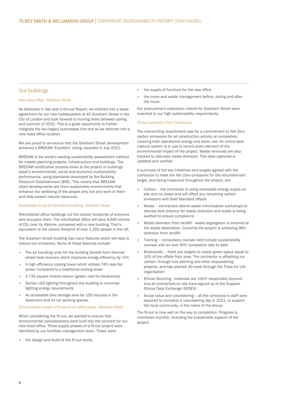## Our buildings

### New head office - Gresham Street

As disclosed in last year's Annual Report, we entered into a lease agreement for our new headquarters at 45 Gresham Street in the City of London and look forward to moving there between spring and summer of 2022. This is a great opportunity to further integrate the two legacy businesses into one as we relocate into a new head office location.

We are proud to announce that the Gresham Street development achieved a BREEAM 'Excellent' rating, awarded in July 2021.

BREEAM is the world's leading sustainability assessment method for [master-planning](https://breeam.com/discover/technical-standards/communities/) projects, [infrastructure](https://breeam.com/discover/technical-standards/infrastructure/) and [buildings.](https://www.breeam.com/discover/technical-standards/) The BREEAM certification process looks at the project or buildings asset's environmental, social and economic sustainability performance, using standards developed by the Building Research Establishment (BRE). This means that BREEAM rated developments are more sustainable environments that enhance the wellbeing of the people who live and work in them and help protect natural resources.

#### Sustainable fit-out of refurbished building - Gresham Street

Refurbished office buildings cut the carbon footprints of everyone who occupies them. The refurbished office will save 6,660 tonnes of CO2 over its lifetime, compared with a new building. That's equivalent to the carbon footprint of over 1,200 people in the UK.

The Gresham Street building has many features which will help to reduce our emissions. Some of these features include:

- The air handling units for the building benefit from thermal wheel heat recovery which improves energy efficiency by 70%
- A high efficiency cooling tower which utilises 78% less fan power compared to a traditional cooling tower
- A 735 square metres sedum (green) roof for biodiversity
- Sensor LED lighting throughout the building to minimise lighting energy requirements
- An accessible bike storage area for 150 bicycles in the basement and no car parking spaces.

#### Environmental impact of fit-out of our office space - Gresham Street

When considering the fit-out, we wanted to ensure that environmental considerations were built into the contract for our new head office. Three supply phases of a fit-out project were identified by our facilities management team. These were:

• the design and build of the fit-out works

- the supply of furniture for the new office
- the move and waste management before, during and after the move.

Our procurement evaluation criteria for Gresham Street were matched to our high sustainability requirements.

### Fit-out contractor (Tier1 Contractor)

The overarching requirement was for a commitment to Net Zero carbon emissions for all construction activity on completion, covering both operational energy and water use. An online data capture system is in use to record every element of the environmental impact of the project. Waste removals are also tracked to calculate waste diversion. This data captured is updated and verified.

A summary of the key initiatives and targets agreed with the contractor to meet the Net Zero emissions for the refurbishment target, and being measured throughout the project, are:

- Carbon the contractor is using renewable energy supply on site and no diesel and will offset any remaining carbon emissions with Gold Standard offsets
- Waste contractors attend waste minimisation workshops to discuss best practice for waste reduction and waste is being audited to ensure compliance
- Waste diversion from landfill waste segregation is ensured at the waste destination. Currently the project is achieving 98% diversion from landfill
- Training compulsory courses held include sustainability courses with an over 90% completion rate to date
- Biodiversity there are targets to create green space equal to 10% of the offsite floor area. The contractor is offsetting our carbon, through tree planting and other sequestering projects, and has planted 30 trees through the Trees for Life organisation
- Ethical Sourcing materials are 100% responsibly sourced and all contractors on site have signed up to the Supplier Ethical Data Exchange (SEDEX)
- Social value and volunteering all the contractor's staff were required to complete a volunteering day in 2021, to support the local community, in the name of the Group.

The fit-out is now well on the way to completion. Progress is monitored monthly, including the sustainable aspects of the project.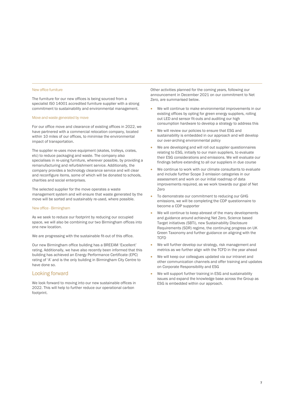#### New office furniture

The furniture for our new offices is being sourced from a specialist IS0 14001 accredited furniture supplier with a strong commitment to sustainability and environmental management.

#### Move and waste generated by move

For our office move and clearance of existing offices in 2022, we have partnered with a commercial relocation company, located within 10 miles of our offices, to minimise the environmental impact of transportation.

The supplier re-uses move equipment (skates, trolleys, crates, etc) to reduce packaging and waste. The company also specialises in re-using furniture, wherever possible, by providing a remanufacturing and refurbishment service. Additionally, the company provides a technology clearance service and will clear and reconfigure items, some of which will be donated to schools, charities and social enterprises.

The selected supplier for the move operates a waste management system and will ensure that waste generated by the move will be sorted and sustainably re-used, where possible.

#### New office - Birmingham

As we seek to reduce our footprint by reducing our occupied space, we will also be combining our two Birmingham offices into one new location.

We are progressing with the sustainable fit-out of this office.

Our new Birmingham office building has a BREEAM 'Excellent' rating. Additionally, we have also recently been informed that this building has achieved an Energy Performance Certificate (EPC) rating of 'A' and is the only building in Birmingham City Centre to have done so.

## Looking forward

We look forward to moving into our new sustainable offices in 2022. This will help to further reduce our operational carbon footprint.

Other activities planned for the coming years, following our announcement in December 2021 on our commitment to Net Zero, are summarised below.

- We will continue to make environmental improvements in our existing offices by opting for green energy suppliers, rolling out LED and sensor fit-outs and auditing our high consumption hardware to develop a strategy to address this
- We will review our policies to ensure that ESG and sustainability is embedded in our approach and will develop our over-arching environmental policy
- We are developing and will roll out supplier questionnaires relating to ESG, initially to our main suppliers, to evaluate their ESG considerations and emissions. We will evaluate our findings before extending to all our suppliers in due course
- We continue to work with our climate consultants to evaluate and include further Scope 3 emission categories in our assessment and work on our initial roadmap of data improvements required, as we work towards our goal of Net Zero
- To demonstrate our commitment to reducing our GHG emissions, we will be completing the CDP questionnaire to become a CDP supporter
- We will continue to keep abreast of the many developments and guidance around achieving Net Zero, Science based Target initiatives (SBTi), new Sustainability Disclosure Requirements (SDR) regime, the continuing progress on UK Green Taxonomy and further guidance on aligning with the **TCFD**
- We will further develop our strategy, risk management and metrics as we further align with the TCFD in the year ahead
- We will keep our colleagues updated via our intranet and other communication channels and offer training and updates on Corporate Responsibility and ESG
- We will support further training in ESG and sustainability issues and expand the knowledge base across the Group as ESG is embedded within our approach.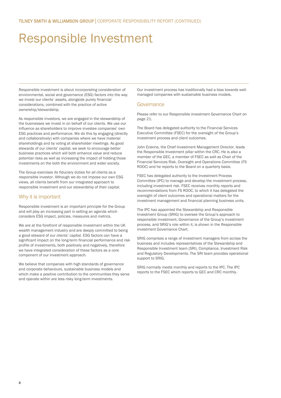# Responsible Investment

Responsible investment is about incorporating consideration of environmental, social and governance (ESG) factors into the way we invest our clients' assets, alongside purely financial considerations, combined with the practice of active ownership/stewardship.

As responsible investors, we are engaged in the stewardship of the businesses we invest in on behalf of our clients. We use our influence as shareholders to improve investee companies' own ESG practices and performance. We do this by engaging (directly and collaboratively) with companies where we have material shareholdings and by voting at shareholder meetings. As good stewards of our clients' capital, we seek to encourage better business practices which will both enhance value and reduce potential risks as well as increasing the impact of holding those investments on the both the environment and wider society.

The Group exercises its fiduciary duties for all clients as a responsible investor. Although we do not impose our own ESG views, all clients benefit from our integrated approach to responsible investment and our stewardship of their capital.

# Why it is important

Responsible investment is an important principle for the Group and will play an increasing part in setting an agenda which considers ESG impact, policies, measures and metrics.

We are at the forefront of responsible investment within the UK wealth management industry and are deeply committed to being a good steward of our clients' capital. ESG factors can have a significant impact on the long-term financial performance and risk profile of investments, both positively and negatively, therefore we have integrated consideration of these factors as a core component of our investment approach.

We believe that companies with high standards of governance and corporate behaviours, sustainable business models and which make a positive contribution to the communities they serve and operate within are less risky long-term investments.

Our investment process has traditionally had a bias towards wellmanaged companies with sustainable business models.

### Governance

Please refer to our Responsible investment Governance Chart on page 21.

The Board has delegated authority to the Financial Services Executive Committee (FSEC) for the oversight of the Group's investment process and client outcomes.

John Erskine, the Chief Investment Management Director, leads the Responsible Investment pillar within the CRC. He is also a member of the GEC, a member of FSEC as well as Chair of the Financial Services Risk, Oversight and Operations Committee (FS ROOC) and he reports to the Board on a quarterly basis.

FSEC has delegated authority to the Investment Process Committee (IPC) to manage and develop the investment process, including investment risk. FSEC receives monthly reports and recommendations from FS ROOC, to which it has delegated the oversight of client outcomes and operational matters for the investment management and financial planning business units.

The IPC has appointed the Stewardship and Responsible Investment Group (SRIG) to oversee the Group's approach to responsible investment. Governance of the Group's investment process, and SRIG's role within it, is shown in the Responsible investment Governance Chart.

SRIG comprises a range of investment managers from across the business and includes representatives of the Stewardship and Responsible Investment team (SRI), Compliance, Investment Risk and Regulatory Developments. The SRI team provides operational support to SRIG.

SRIG normally meets monthly and reports to the IPC. The IPC reports to the FSEC which reports to GEC and CRC monthly.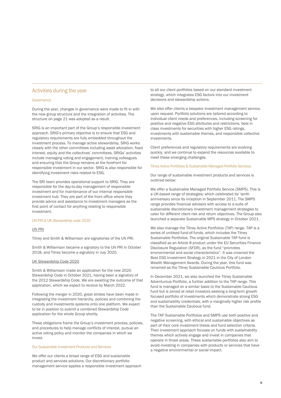# Activities during the year

#### **Governance**

During the year, changes in governance were made to fit in with the new group structure and the integration of activities. The structure on page 21 was adopted as a result.

SRIG is an important part of the Group's responsible investment approach. SRIG's primary objective is to ensure that ESG and regulatory requirements are fully embedded throughout the investment process. To manage active stewardship, SRIG works closely with the other committees including asset allocation, fixed interest, equity and the collectives' committees. SRIGs' activities include managing voting and engagement, training colleagues and ensuring that the Group remains at the forefront for responsible investment in our sector. SRIG is also responsible for identifying investment risks related to ESG.

The SRI team provides operational support to SRIG. They are responsible for the day-to-day management of responsible investment and for maintenance of our internal responsible investment hub. They are part of the front office where they provide advice and assistance to investment managers as the first point of contact for anything relating to responsible investment.

#### UN PRI & UK Stewardship code 2020

### UN PRI

Tilney and Smith & Williamson are signatories of the UN PRI.

Smith & Williamson became a signatory to the UN PRI in October 2018, and Tilney become a signatory in July 2020.

#### UK Stewardship Code 2020

Smith & Williamson made an application for the new 2020 Stewardship Code in October 2021, having been a signatory of the 2012 Stewardship Code. We are awaiting the outcome of that application, which we expect to receive by March 2022.

Following the merger in 2020, great strides have been made in integrating the investment hierarchy, policies and combining the custody and investments systems onto one platform. We expect to be in position to submit a combined Stewardship Code application for the whole Group shortly.

These obligations frame the Group's investment process, policies, and procedures to help manage conflicts of interest, pursue an active voting policy and monitor the companies in which we invest.

#### Our Sustainable Investment Products and Services

We offer our clients a broad range of ESG and sustainable product and services solutions. Our discretionary portfolio management service applies a responsible investment approach to all our client portfolios based on our standard investment strategy, which integrates ESG factors into our investment decisions and stewardship actions.

We also offer clients a bespoke investment management service, upon request. Portfolio solutions are tailored according to individual client needs and preferences, including screening for positive and negative ESG attributes and restrictions, best in class investments for securities with higher ESG ratings, investments with sustainable themes, and responsible collective investments.

Client preferences and regulatory requirements are evolving quickly, and we continue to expand the resources available to meet these emerging challenges.

### Tilney Active Portfolios & Sustainable Managed Portfolio Services

Our range of sustainable investment products and services is outlined below:

We offer a Sustainable Managed Portfolio Service (SMPS). This is a UK-based range of strategies, which celebrated its' tenth anniversary since its inception in September 2011. The SMPS range provides financial advisers with access to a suite of sustainable discretionary investment management strategies to cater for different client risk and return objectives. The Group also launched a separate Sustainable MPS strategy in October 2021.

We also manage the Tilney Active Portfolios (TAP) range. TAP is a series of unitised fund-of-funds, which includes the Tilney Sustainable Portfolios. The original Sustainable TAP fund is classified as an Article 8 product under the EU Securities Finance Disclosure Regulation (SFDR), as the fund "promotes environmental and social characteristics". It was crowned the Best ESG Investment Strategy in 2021 in the City of London Wealth Management Awards. During the year, this fund was renamed as the Tilney Sustainable Cautious Portfolio.

In December 2021, we also launched the Tilney Sustainable Adventurous Portfolio, a further addition to the TAP range. This fund is managed on a similar basis to the Sustainable Cautious fund but is aimed at retail investors seeking a long-term growth focused portfolio of investments which demonstrate strong ESG and sustainability credentials, with a marginally higher risk profile than the Sustainable Cautious fund.

The TAP Sustainable Portfolios and SMPS use both positive and negative screening, with ethical and sustainable objectives as part of their core investment thesis and fund selection criteria. Their investment approach focuses on funds with sustainability themes which actively engage and invest in companies that operate in those areas. These sustainable portfolios also aim to avoid investing in companies with products or services that have a negative environmental or social impact.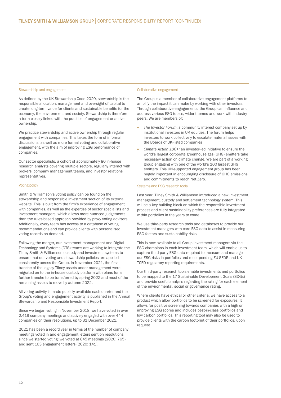#### Stewardship and engagement

As defined by the UK Stewardship Code 2020, stewardship is the responsible allocation, management and oversight of capital to create long-term value for clients and sustainable benefits for the economy, the environment and society. Stewardship is therefore a term closely linked with the practice of engagement or active ownership.

We practice stewardship and active ownership through regular engagement with companies. This takes the form of informal discussions, as well as more formal voting and collaborative engagement, with the aim of improving ESG performance of companies.

Our sector specialists, a cohort of approximately 80 in-house research analysts covering multiple sectors, regularly interact with brokers, company management teams, and investor relations representatives.

#### Voting policy

Smith & Williamson's voting policy can be found on the stewardship and responsible investment section of its external website. This is built from the firm's experience of engagement with companies, as well as the expertise of sector specialists and investment managers, which allows more nuanced judgements than the rules-based approach provided by proxy voting advisers. Additionally, every team has access to a database of voting recommendations and can provide clients with personalised voting records on demand.

Following the merger, our investment management and Digital Technology and Systems (DTS) teams are working to integrate the Tilney Smith & Williamson custody and investment systems to ensure that our voting and stewardship policies are applied consistently across the Group. In November 2021, the first tranche of the legacy Tilney assets under management were migrated on to the in-house custody platform with plans for a further tranche to be transferred by spring 2022 and most of the remaining assets to move by autumn 2022.

All voting activity is made publicly available each quarter and the Group's voting and engagement activity is published in the Annual Stewardship and Responsible Investment Report.

Since we began voting in November 2018, we have voted in over 2,419 company meetings and actively engaged with over 444 companies on their resolutions, up to 31 December 2021.

2021 has been a record year in terms of the number of company meetings voted in and engagement letters sent on resolutions since we started voting; we voted at 845 meetings (2020: 765) and sent 163 engagement letters (2020: 141).

#### Collaborative engagement

The Group is a member of collaborative engagement platforms to amplify the impact it can make by working with other investors. Through collaborative engagements, the Group can influence and address various ESG topics, wider themes and work with industry peers. We are members of:

- *The Investor Forum*: a community interest company set up by institutional investors in UK equities. The forum helps investors to work collectively to escalate material issues with the Boards of UK-listed companies
- *Climate Action 100+:* an investor-led initiative to ensure the world's largest corporate greenhouse gas (GHG) emitters take necessary action on climate change. We are part of a working group engaging with one of the world's 100 largest GHG emitters. This UN-supported engagement group has been hugely important in encouraging disclosure of GHG emissions and commitments to reach Net Zero.

#### Systems and ESG research tools

Last year, Tilney Smith & Williamson introduced a new investment management, custody and settlement technology system. This will be a key building block on which the responsible investment process and client sustainability preferences are fully integrated within portfolios in the years to come.

We use third-party research tools and databases to provide our investment managers with core ESG data to assist in measuring ESG factors and sustainability risks.

This is now available to all Group investment managers via the ESG champions in each investment team, which will enable us to capture third-party ESG data required to measure and manage our ESG risks in portfolios and meet pending EU SFDR and UK TCFD regulatory reporting requirements.

Our third-party research tools enable investments and portfolios to be mapped to the 17 Sustainable Development Goals (SDGs) and provide useful analysis regarding the rating for each element of the environmental, social or governance rating.

Where clients have ethical or other criteria, we have access to a product which allow portfolios to be screened for exposures. It allows for positive screening towards companies with a high or improving ESG scores and includes best-in-class portfolios and low carbon portfolios. This reporting tool may also be used to provide clients with the carbon footprint of their portfolios, upon request.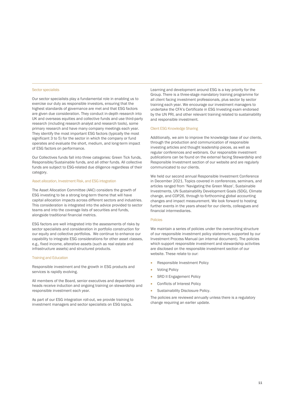## Sector specialists

Our sector specialists play a fundamental role in enabling us to exercise our duty as responsible investors, ensuring that the highest standards of governance are met and that ESG factors are given due consideration. They conduct in-depth research into UK and overseas equities and collective funds and use third-party research (including research analyst and research tools), some primary research and have many company meetings each year. They identify the most important ESG factors (typically the most significant 3 to 5) for the sector in which the company or fund operates and evaluate the short, medium, and long-term impact of ESG factors on performance.

Our Collectives funds fall into three categories: Green Tick funds, Responsible/Sustainable funds, and all other funds. All collective funds are subject to ESG-related due diligence regardless of their category.

#### Asset allocation, Investment Risk, and ESG integration

The Asset Allocation Committee (AAC) considers the growth of ESG investing to be a strong long-term theme that will have capital allocation impacts across different sectors and industries. This consideration is integrated into the advice provided to sector teams and into the coverage lists of securities and funds, alongside traditional financial metrics.

ESG factors are well integrated into the assessments of risks by sector specialists and consideration in portfolio construction for our equity and collective portfolios. We continue to enhance our capability to integrate ESG considerations for other asset classes, e.g., fixed income, alterative assets (such as real estate and infrastructure assets) and structured products.

#### Training and Education

Responsible investment and the growth in ESG products and services is rapidly evolving.

All members of the Board, senior executives and department heads receive induction and ongoing training on stewardship and responsible investment each year.

As part of our ESG integration roll-out, we provide training to investment managers and sector specialists on ESG topics.

Learning and development around ESG is a key priority for the Group. There is a three-stage mandatory training programme for all client facing investment professionals, plus sector by sector training each year. We encourage our investment managers to undertake the CFA's Certificate in ESG Investing exam endorsed by the UN PRI, and other relevant training related to sustainability and responsible investment.

#### Client ESG Knowledge Sharing

Additionally, we aim to improve the knowledge base of our clients, through the production and communication of responsible investing articles and thought leadership pieces, as well as regular conferences and webinars. Our responsible investment publications can be found on the external facing Stewardship and Responsible Investment section of our website and are regularly communicated to our clients.

We held our second annual Responsible Investment Conference in December 2021. Topics covered in conferences, seminars, and articles ranged from 'Navigating the Green Maze', Sustainable Investments, UN Sustainability Development Goals (SDG), Climate change, and COP26, through to forthcoming global accounting changes and impact measurement. We look forward to hosting further events in the years ahead for our clients, colleagues and financial intermediaries.

#### Policies

We maintain a series of policies under the overarching structure of our responsible investment policy statement, supported by our Investment Process Manual (an internal document). The policies which support responsible investment and stewardship activities are disclosed on the responsible investment section of our website. These relate to our:

- Responsible Investment Policy
- Voting Policy
- SRD II Engagement Policy
- Conflicts of Interest Policy
- Sustainability Disclosure Policy.

The policies are reviewed annually unless there is a regulatory change requiring an earlier update.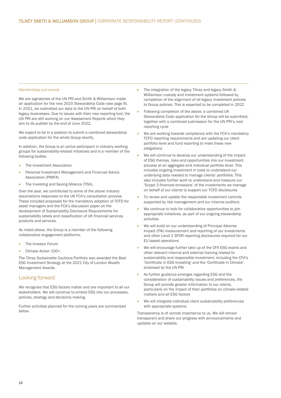#### Memberships and awards

We are signatories of the UN PRI and Smith & Williamson made an application for the new 2020 Stewardship Code (see page 9). In 2021, we submitted our data to the UN PRI on behalf of both legacy businesses. Due to issues with their new reporting tool, the UN PRI are still working on our Assessment Reports which they aim to do publish by the end of June 2022.

We expect to be in a position to submit a combined stewardship code application for the whole Group shortly.

In addition, the Group is an active participant in industry working groups for sustainability-related initiatives and is a member of the following bodies:

- The Investment Association
- Personal Investment Management and Financial Advice Association (PIMFA)
- The Investing and Saving Alliance (TISA).

Over the year, we contributed to some of the above industry associations responses to the UK FCA's consultation process. These included proposals for the mandatory adoption of TCFD for asset managers and the FCA's discussion paper on the development of Sustainability Disclosure Requirements for sustainability labels and classification of UK financial services products and services.

As noted above, the Group is a member of the following collaborative engagement platforms:

- The Investor Forum
- Climate Action 100+.

The Tilney Sustainable Cautious Portfolio was awarded the Best ESG Investment Strategy at the 2021 City of London Wealth Management Awards.

# Looking forward

We recognise that ESG factors matter and are important to all our stakeholders. We will continue to embed ESG into our processes, policies, strategy and decisions making.

Further activities planned for the coming years are summarised below.

- The integration of the legacy Tilney and legacy Smith & Williamson custody and investment systems followed by completion of the alignment of all legacy investment policies to Group policies. This is expected to be completed in 2022
- Following completion of the above, a combined UK Stewardship Code application for the Group will be submitted, together with a combined submission for the UN PRI's next reporting cycle
- We are working towards compliance with the FCA's mandatory TCFD reporting requirements and are updating our client portfolio level and fund reporting to meet these new obligations
- We will continue to develop our understanding of the impact of ESG themes, risks and opportunities into our investment process at an aggregate and individual portfolio level. This includes ongoing investment in tools to understand our underlying data needed to manage clients' portfolios. This also includes further work to understand and measure our 'Scope 3 financed emissions' of the investments we manage on behalf of our clients to support our TCFD disclosures
- To review and update the responsible investment controls supported by risk management and our internal auditors
- We continue to look for collaborative opportunities to join appropriate initiatives, as part of our ongoing stewardship activities
- We will build on our understanding of Principal Adverse Impact (PAI) measurement and reporting of our investments and other Level 2 SFDR reporting disclosures required for our EU based operations
- We will encourage further take up of the CFA ESG exams and other relevant internal and external training related to sustainability and responsible investment, including the CFA's 'Certificate in ESG Investing' and the 'Certificate in Climate', endorsed by the UN PRI
- As further guidance emerges regarding ESG and the consideration of sustainability issues and preferences, the Group will provide greater information to our clients, particularly on the impact of their portfolios on climate-related matters and all ESG factors
- We will integrate individual client sustainability preferences with appropriate systems.

Transparency is of utmost importance to us. We will remain transparent and share our progress with announcements and updates on our website.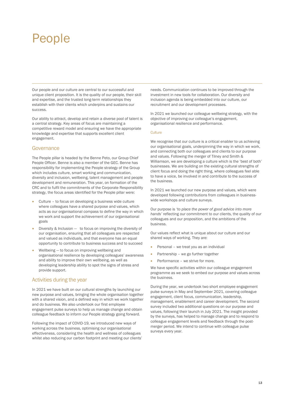# People

Our people and our culture are central to our successful and unique client proposition. It is the quality of our people, their skill and expertise, and the trusted long-term relationships they establish with their clients which underpins and sustains our success.

Our ability to attract, develop and retain a diverse pool of talent is a central strategy. Key areas of focus are maintaining a competitive reward model and ensuring we have the appropriate knowledge and expertise that supports excellent client engagement.

### Governance

The People pillar is headed by the Benne Peto, our Group Chief People Officer. Benne is also a member of the GEC. Benne has responsibility for implementing the People strategy of the Group which includes culture, smart working and communication, diversity and inclusion, wellbeing, talent management and people development and remuneration. This year, on formation of the CRC and to fulfil the commitments of the Corporate Responsibility strategy, the focus areas identified for the People pillar were:

- Culture to focus on developing a business wide culture where colleagues have a shared purpose and values, which acts as our organisational compass to define the way in which we work and support the achievement of our organisational goals
- Diversity & Inclusion to focus on improving the diversity of our organisation, ensuring that all colleagues are respected and valued as individuals, and that everyone has an equal opportunity to contribute to business success and to succeed
- Wellbeing to focus on improving wellbeing and organisational resilience by developing colleagues' awareness and ability to improve their own wellbeing, as well as developing leadership ability to spot the signs of stress and provide support.

# Activities during the year

In 2021 we have built on our cultural strengths by launching our new purpose and values, bringing the whole organisation together with a shared vision, and a defined way in which we work together and do business. We also undertook our first employee engagement pulse surveys to help us manage change and obtain colleague feedback to inform our People strategy going forward.

Following the impact of COVID-19, we introduced new ways of working across the business, optimising our organisational effectiveness, considering the health and wellness of colleagues whilst also reducing our carbon footprint and meeting our clients'

needs. Communication continues to be improved through the investment in new tools for collaboration. Our diversity and inclusion agenda is being embedded into our culture, our recruitment and our development processes.

In 2021 we launched our colleague wellbeing strategy, with the objective of improving our colleague's engagement, organisational resilience and performance.

### **Culture**

We recognise that our culture is a critical enabler to us achieving our organisational goals, underpinning the way in which we work, and connecting both our colleagues and clients to our purpose and values. Following the merger of Tilney and Smith & Williamson, we are developing a culture which is the 'best of both' businesses. We are building on the existing cultural strengths of client focus and doing the right thing, where colleagues feel able to have a voice, be involved in and contribute to the success of the business.

In 2021 we launched our new purpose and values, which were developed following contributions from colleagues in businesswide workshops and culture surveys.

Our purpose is *'to place the power of good advice into more hands'* reflecting our commitment to our clients, the quality of our colleagues and our proposition, and the ambitions of the business.

Our values reflect what is unique about our culture and our shared ways of working. They are:

- Personal we treat you as an individual
- Partnership we go further together
- Performance we strive for more.

We have specific activities within our colleague engagement programme as we seek to embed our purpose and values across the business.

During the year, we undertook two short employee engagement pulse surveys in May and September 2021, covering colleague engagement, client focus, communication, leadership, management, enablement and career development. The second survey included two additional questions on our purpose and values, following their launch in July 2021. The insight provided by the surveys, has helped to manage change and to respond to colleague engagement levels and feedback through the postmerger period. We intend to continue with colleague pulse surveys every year.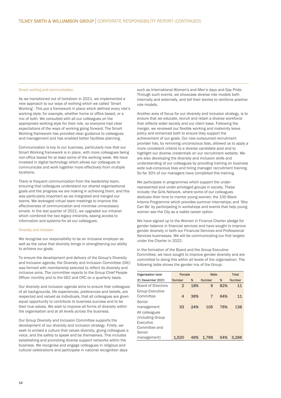#### Smart working and communication

As we transitioned out of lockdown in 2021, we implemented a new approach to our ways of working which we called 'Smart Working'. This put a framework in place which defined every role's working style, for example, whether home or office based, or a mix of both. We consulted with all our colleagues on the appropriate working style for their role, so everyone had clear expectations of the ways of working going forward. The Smart Working framework has provided clear guidance to colleagues and management and has enabled better facilities planning.

Communication is key to our business, particularly now that our Smart Working framework is in place, with more colleagues being non-office based for at least some of the working week. We have invested in digital technology which allows our colleagues to communicate and work together more effectively from multiple locations.

There is frequent communication from the leadership team, ensuring that colleagues understand our shared organisational goals and the progress we are making in achieving them, and this was particularly important as we integrated and merged our teams. We leveraged virtual team meetings to improve the effectiveness of communication and minimise unnecessary emails. In the last quarter of 2021, we upgraded our intranet which combined the two legacy intranets, easing access to information and systems for all our colleagues.

#### Diversity and inclusion

We recognise our responsibility to be an inclusive employer as well as the value that diversity brings in strengthening our ability to achieve our goals.

To ensure the development and delivery of the Group's Diversity and Inclusion agenda, the Diversity and Inclusion Committee (DIC) was formed with membership selected to reflect its diversity and inclusive aims. The committee reports to the Group Chief People Officer monthly and to the GEC and CRC on a quarterly basis.

Our diversity and inclusion agenda aims to ensure that colleagues of all backgrounds, life experiences, preferences and beliefs, are respected and valued as individuals, that all colleagues are given equal opportunity to contribute to business success and to be their true selves. We wish to improve all forms of diversity within the organisation and at all levels across the business.

Our Group Diversity and Inclusion Committee supports the development of our diversity and inclusion strategy. Firstly, we seek to embed a culture that values diversity, giving colleagues a voice, and the safety to speak and be themselves. This includes establishing and promoting diverse support networks within the business. We recognise and engage colleagues in religious and cultural celebrations and participate in national recognition days

such as International Women's and Men's days and Gay Pride. Through such events, we showcase diverse role models both internally and externally, and tell their stories to reinforce positive role models.

Another area of focus for our diversity and inclusion strategy, is to ensure that we educate, recruit and retain a diverse workforce that reflects wider society and our client base. Following the merger, we reviewed our flexible working and maternity leave policy and enhanced both to ensure they support the achievement of our goals. Our new outsourced recruitment provider has, by removing unconscious bias, allowed us to apply a more consistent criteria to a diverse candidate pool and to highlight our diverse credentials on our recruitment website. We are also developing the diversity and inclusion skills and understanding of our colleagues by providing training on business wide sub-conscious bias and hiring manager recruitment training. So far 30% of our managers have completed this training,

We participate in programmes which support the underrepresented and under-privileged groups in society. These include: the Girls Network, where some of our colleagues dedicate their time to mentor young women; the 100 Black Interns Programme which provides summer internships; and 'She Can Be' by participating in workshops and events that help young women see the City as a viable career option.

We have signed up to the Women in Finance Charter pledge for gender balance in financial services and have sought to improve gender diversity in both our Financial Services and Professional Services businesses. We will be communicating our first targets under the Charter in 2022.

In the formation of the Board and the Group Executive Committee, we have sought to improve gender diversity and are committed to doing this within all levels of the organisation. The following table shows the gender mix of the Group:

| <b>Organisation level</b> | Female         |     | Male           |     | Total         |
|---------------------------|----------------|-----|----------------|-----|---------------|
| 31 December 2021          | <b>Number</b>  | %   | <b>Number</b>  | %   | <b>Number</b> |
| <b>Board of Directors</b> | $\overline{2}$ | 18% | 9              | 82% | 11            |
| <b>Group Executive</b>    |                |     |                |     |               |
| Committee                 | 4              | 36% | $\overline{7}$ | 64% | 11            |
| Senior                    |                |     |                |     |               |
| management                | 33             | 24% | 105            | 76% | 138           |
| All colleagues            |                |     |                |     |               |
| (including Group)         |                |     |                |     |               |
| Executive                 |                |     |                |     |               |
| Committee and             |                |     |                |     |               |
| Senior                    |                |     |                |     |               |
| management)               | 1.520          | 46% | 1.766          | 54% | 3.286         |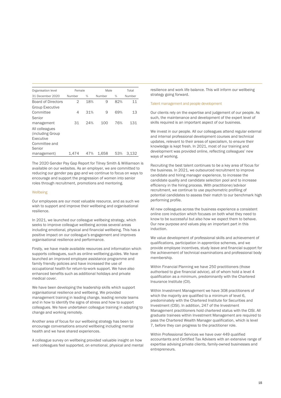| Organisation level        | Female |     | Male   |     | Total  |
|---------------------------|--------|-----|--------|-----|--------|
|                           |        |     |        |     |        |
| 31 December 2020          | Number | %   | Number | %   | Number |
| <b>Board of Directors</b> | 2      | 18% | 9      | 82% | 11     |
| <b>Group Executive</b>    |        |     |        |     |        |
| Committee                 | 4      | 31% | 9      | 69% | 13     |
| Senior                    |        |     |        |     |        |
| management                | 31     | 24% | 100    | 76% | 131    |
| All colleagues            |        |     |        |     |        |
| (including Group)         |        |     |        |     |        |
| Executive                 |        |     |        |     |        |
| Committee and             |        |     |        |     |        |
| Senior                    |        |     |        |     |        |
| management)               | 1,474  | 47% | 1.658  | 53% | 3.132  |

The 2020 Gender Pay Gap Report for Tilney Smith & Williamson is available on our websites. As an employer, we are committed to reducing our gender pay gap and we continue to focus on ways to encourage and support the progression of women into senior roles through recruitment, promotions and mentoring.

#### **Wellbeing**

Our employees are our most valuable resource, and as such we wish to support and improve their wellbeing and organisational resilience.

In 2021, we launched our colleague wellbeing strategy, which seeks to improve colleague wellbeing across several areas including emotional, physical and financial wellbeing. This has a positive impact on our colleague's engagement and improves organisational resilience and performance.

Firstly, we have made available resources and information which supports colleagues, such as online wellbeing guides. We have launched an improved employee assistance programme and family friendly policies and have increased the use of occupational health for return-to-work support. We have also enhanced benefits such as additional holidays and private medical cover.

We have been developing the leadership skills which support organisational resilience and wellbeing. We provided management training in leading change, leading remote teams and in how to identify the signs of stress and how to support colleagues. We have undertaken colleague training in adapting to change and working remotely.

Another area of focus for our wellbeing strategy has been to encourage conversations around wellbeing including mental health and we have shared experiences.

A colleague survey on wellbeing provided valuable insight on how well colleagues feel supported, on emotional, physical and mental

resilience and work life balance. This will inform our wellbeing strategy going forward.

#### Talent management and people development

Our clients rely on the expertise and judgement of our people. As such, the maintenance and development of the expert level of skills required is an important aspect of our business.

We invest in our people. All our colleagues attend regular external and internal professional development courses and technical updates, relevant to their areas of specialism, to ensure their knowledge is kept fresh. In 2021, most of our training and development was provided online, reflecting colleagues' new ways of working.

Recruiting the best talent continues to be a key area of focus for the business. In 2021, we outsourced recruitment to improve candidate and hiring manager experience, to increase the candidate quality and candidate selection pool and to increase efficiency in the hiring process. With practitioner/advisor recruitment, we continue to use psychometric profiling of potential candidates to assess their match to our benchmark high performing profile.

All new colleagues across the business experience a consistent online core induction which focuses on both what they need to know to be successful but also how we expect them to behave. Our new purpose and values play an important part in this induction.

We value development of professional skills and achievement of qualifications, participation in apprentice schemes, and we provide employee incentives, study leave and financial support for the achievement of technical examinations and professional body membership.

Within Financial Planning we have 250 practitioners (those authorised to give financial advice), all of whom hold a level 4 qualification as a minimum, predominantly with the Chartered Insurance Institute (CII).

Within Investment Management we have 308 practitioners of which the majority are qualified to a minimum of level 6, predominately with the Chartered Institute for Securities and Investment (CISI). In addition, 247 of the Investment Management practitioners hold chartered status with the CISI. All graduate trainees within Investment Management are required to pass the Chartered Wealth Manager qualification, which is level 7, before they can progress to the practitioner role.

Within Professional Services we have over 449 qualified accountants and Certified Tax Advisers with an extensive range of expertise advising private clients, family-owned businesses and entrepreneurs.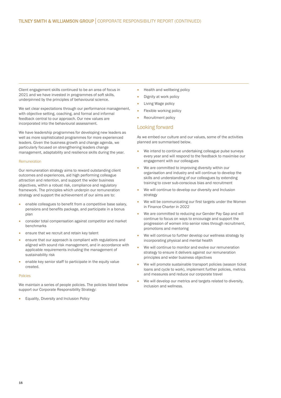Client engagement skills continued to be an area of focus in 2021 and we have invested in programmes of soft skills, underpinned by the principles of behavioural science.

We set clear expectations through our performance management, with objective setting, coaching, and formal and informal feedback central to our approach. Our new values are incorporated into the behavioural assessment.

We have leadership programmes for developing new leaders as well as more sophisticated programmes for more experienced leaders. Given the business growth and change agenda, we particularly focused on strengthening leaders change management, adaptability and resilience skills during the year.

#### Remuneration

Our remuneration strategy aims to reward outstanding client outcomes and experiences, aid high performing colleague attraction and retention, and support the wider business objectives, within a robust risk, compliance and regulatory framework. The principles which underpin our remuneration strategy and support the achievement of our aims are to:

- enable colleagues to benefit from a competitive base salary, pensions and benefits package, and participate in a bonus plan
- consider total compensation against competitor and market benchmarks
- ensure that we recruit and retain key talent
- ensure that our approach is compliant with regulations and aligned with sound risk management, and in accordance with applicable requirements including the management of sustainability risk
- enable key senior staff to participate in the equity value created.

#### Policies

We maintain a series of people policies. The policies listed below support our Corporate Responsibility Strategy:

• Equality, Diversity and Inclusion Policy

- Health and wellbeing policy
- Dignity at work policy
- Living Wage policy
- Flexible working policy
- Recruitment policy

## Looking forward

As we embed our culture and our values, some of the activities planned are summarised below.

- We intend to continue undertaking colleague pulse surveys every year and will respond to the feedback to maximise our engagement with our colleagues
- We are committed to improving diversity within our organisation and industry and will continue to develop the skills and understanding of our colleagues by extending training to cover sub-conscious bias and recruitment
- We will continue to develop our diversity and Inclusion strategy
- We will be communicating our first targets under the Women in Finance Charter in 2022
- We are committed to reducing our Gender Pay Gap and will continue to focus on ways to encourage and support the progression of women into senior roles through recruitment, promotions and mentoring
- We will continue to further develop our wellness strategy by incorporating physical and mental health
- We will continue to monitor and evolve our remuneration strategy to ensure it delivers against our remuneration principles and wider business objectives
- We will promote sustainable transport policies (season ticket loans and cycle to work), implement further policies, metrics and measures and reduce our corporate travel
- We will develop our metrics and targets related to diversity, inclusion and wellness.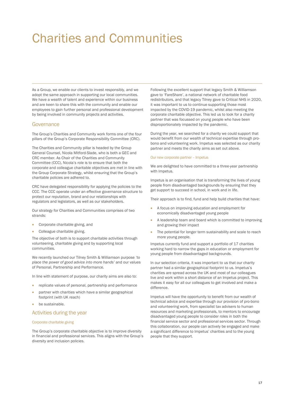# Charities and Communities

As a Group, we enable our clients to invest responsibly, and we adopt the same approach in supporting our local communities. We have a wealth of talent and experience within our business and are keen to share this with the community and enable our employees to gain further personal and professional development by being involved in community projects and activities.

## **Governance**

The Group's Charities and Community work forms one of the four pillars of the Group's Corporate Responsibility Committee (CRC).

The Charities and Community pillar is headed by the Group General Counsel, Nicola Mitford-Slade, who is both a GEC and CRC member. As Chair of the Charities and Community Committee (CCC), Nicola's role is to ensure that both the corporate and colleague charitable objectives are met in line with the Group Corporate Strategy, whilst ensuring that the Group's charitable policies are adhered to.

CRC have delegated responsibility for applying the policies to the CCC. The CCC operate under an effective governance structure to protect our reputation, brand and our relationships with regulators and legislators, as well as our stakeholders.

Our strategy for Charities and Communities comprises of two strands:

- Corporate charitable giving, and
- Colleague charitable giving.

The objective of both is to support charitable activities through volunteering, charitable giving and by supporting local communities.

We recently launched our Tilney Smith & Williamson purpose *'to place the power of good advice into more hands'* and our values of Personal, Partnership and Performance.

In line with statement of purpose, our charity aims are also to:

- replicate values of personal, partnership and performance
- partner with charities which have a similar geographical footprint (with UK reach)
- be sustainable.

## Activities during the year

#### Corporate charitable giving

The Group's corporate charitable objective is to improve diversity in financial and professional services. This aligns with the Group's diversity and inclusion policies.

Following the excellent support that legacy Smith & Williamson gave to 'FareShare', a national network of charitable food redistributors, and that legacy Tilney gave to Critical NHS in 2020, it was important to us to continue supporting those most impacted by the COVID-19 pandemic, whilst also meeting the corporate charitable objective. This led us to look for a charity partner that was focussed on young people who have been disproportionately impacted by the pandemic.

During the year, we searched for a charity we could support that would benefit from our wealth of technical expertise through probono and volunteering work. Impetus was selected as our charity partner and meets the charity aims as set out above.

#### Our new corporate partner – Impetus

We are delighted to have committed to a three-year partnership with Impetus.

Impetus is an organisation that is transforming the lives of young people from disadvantaged backgrounds by ensuring that they get support to succeed in school, in work and in life.

Their approach is to find, fund and help build charities that have:

- A focus on improving education and employment for economically disadvantaged young people
- A leadership team and board which is committed to improving and growing their impact
- The potential for longer term sustainability and scale to reach more young people.

Impetus currently fund and support a portfolio of 17 charities working hard to narrow the gaps in education or employment for young people from disadvantaged backgrounds.

In our selection criteria, it was important to us that our charity partner had a similar geographical footprint to us. Impetus's charities are spread across the UK and most of our colleagues live and work within a short distance of an Impetus project. This makes it easy for all our colleagues to get involved and make a difference.

Impetus will have the opportunity to benefit from our wealth of technical advice and expertise through our provision of pro-bono and volunteering work, from specialist tax advisers to human resources and marketing professionals, to mentors to encourage disadvantaged young people to consider roles in both the financial service sector and professional services sector. Through this collaboration, our people can actively be engaged and make a significant difference to Impetus' charities and to the young people that they support.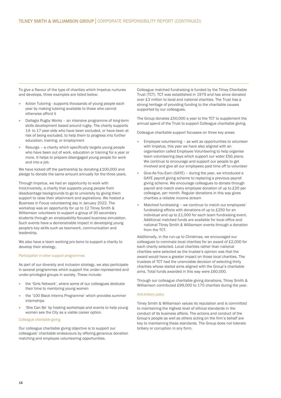To give a flavour of the type of charities which Impetus nurtures and develops, three examples are listed below:

- Action Tutoring supports thousands of young people each year by making tutoring available to those who cannot otherwise afford it
- Dallagio Rugby Works an intensive programme of long-term skills development based around rugby. The charity supports 14- to 17-year-olds who have been excluded, or have been at risk of being excluded, to help them to progress into further education, training, or employment
- Resurgo a charity which specifically targets young people who have been out of work, education or training for a year or more. It helps to prepare disengaged young people for work and into a job.

We have kicked off the partnership by donating £100,000 and pledge to donate the same amount annually for the three years.

Through Impetus, we had an opportunity to work with IntoUniversity, a charity that supports young people from disadvantage backgrounds to go to university by giving them support to raise their attainment and aspirations. We hosted a Business in Focus volunteering day in January 2022. The workshop was an opportunity for up to 12 Tilney Smith & Williamson volunteers to support a group of 30 secondary students through an employability-focused business simulation. Such events have a demonstrable impact in developing young people's key skills such as teamwork, communication and leadership.

We also have a team working pro bono to support a charity to develop their strategy,

#### Participation in other support programmes

As part of our diversity and inclusion strategy, we also participate in several programmes which support the under-represented and under-privileged groups in society. These include:

- the 'Girls Network', where some of our colleagues dedicate their time to mentoring young women
- the '100 Black Interns Programme' which provides summer internships
- 'She Can Be' by hosting workshops and events to help young women see the City as a viable career option.

#### Colleague charitable giving

Our colleague charitable giving objective is to support our colleagues' charitable endeavours by offering generous donation matching and employee volunteering opportunities.

Colleague matched fundraising is funded by the Tilney Charitable Trust (TCT). TCT was established in 1979 and has since donated over £3 million to local and national charities. The Trust has a strong heritage of providing funding to the charitable causes supported by our colleagues.

The Group donates £50,000 a year to the TCT to supplement the annual spend of the Trust to support Colleague charitable giving.

Colleague charitable support focusses on three key areas:

- Employee volunteering as well as opportunities to volunteer with Impetus, this year we have also aligned with an organisation called Employee Volunteering to help organise team volunteering days which support our wider ESG plans. We continue to encourage and support our people to get involved and give all our employees paid time off to volunteer
- Give-As-You-Earn (GAYE) during the year, we introduced a GAYE payroll giving scheme to replacing a previous payroll giving scheme. We encourage colleagues to donate through payroll and match every employee donation of up to £20 per colleague, per month. Regular donations in this way gives charities a reliable income stream
- Matched fundraising we continue to match our employees' fundraising efforts with donations of up to £250 for an individual and up to £1,000 for each team fundraising event. Additional matched funds are available for local office and national Tilney Smith & Williamson events through a donation from the TCT.

Additionally, in the run-up to Christmas, we encouraged our colleagues to nominate local charities for an award of £2,000 for each charity selected. Local charities rather than national charities were selected as the trustee's opinion was that the award would have a greater impact on those local charities. The trustees of TCT had the unenviable decision of selecting thirty charities whose stated aims aligned with the Group's charitable aims. Total funds awarded in this way were £60,000.

Through our colleague charitable giving donations, Tilney Smith & Williamson contributed £99,000 to 170 charities during the year.

#### Anti-bribery policy

Tilney Smith & Williamson values its reputation and is committed to maintaining the highest level of ethical standards in the conduct of its business affairs. The actions and conduct of the Group's people as well as others acting on the firm's behalf are key to maintaining these standards. The Group does not tolerate bribery or corruption in any form.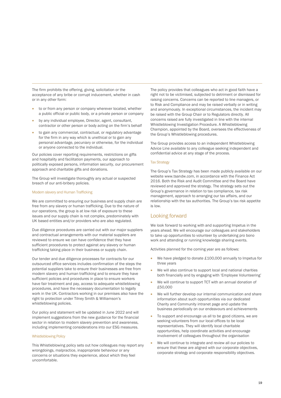The firm prohibits the offering, giving, solicitation or the acceptance of any bribe or corrupt inducement, whether in cash or in any other form:

- to or from any person or company wherever located, whether a public official or public body, or a private person or company
- by any individual employee, Director, agent, consultant, contractor or other person or body acting on the firm's behalf
- to gain any commercial, contractual, or regulatory advantage for the firm in any way which is unethical or to gain any personal advantage, pecuniary or otherwise, for the individual or anyone connected to the individual.

Our policies cover reporting requirements, restrictions on gifts and hospitality and facilitation payments, our approach to politically exposed persons, information security, our procurement approach and charitable gifts and donations.

The Group will investigate thoroughly any actual or suspected breach of our anti-bribery policies.

#### Modern slavery and Human Trafficking

We are committed to ensuring our business and supply chain are free from any slavery or human trafficking. Due to the nature of our operations, the group is at low risk of exposure to these issues and our supply chain is not complex, predominately with UK based entities and/or providers who are also regulated.

Due diligence procedures are carried out with our major suppliers and contractual arrangements with our material suppliers are reviewed to ensure we can have confidence that they have sufficient procedures to protect against any slavery or human trafficking taking place in their business or supply chain.

Our tender and due diligence processes for contracts for our outsourced office services includes confirmation of the steps the potential suppliers take to ensure their businesses are free from modern slavery and human trafficking and to ensure they have sufficient policies and procedures in place to ensure workers have fair treatment and pay, access to adequate whistleblowing procedures, and have the necessary documentation to legally work in the UK. Contractors working in our premises also have the right to protection under Tilney Smith & Williamson's whistleblowing policies.

Our policy and statement will be updated in June 2022 and will implement suggestions from the new guidance for the financial sector in relation to modern slavery prevention and awareness, including implementing considerations into our ESG measures.

#### Whistleblowing Policy

This Whistleblowing policy sets out how colleagues may report any wrongdoings, malpractice, inappropriate behaviour or any concerns or situations they experience, about which they feel uncomfortable.

The policy provides that colleagues who act in good faith have a right not to be victimised, subjected to detriment or dismissed for raising concerns. Concerns can be reported to line managers, or to Risk and Compliance and may be raised verbally or in writing and anonymously. In exceptional circumstances, the incident may be raised with the Group Chair or to Regulators directly. All concerns raised are fully investigated in line with the internal Whistleblowing Investigation Procedure. A Whistleblowing Champion, appointed by the Board, oversees the effectiveness of the Group's Whistleblowing procedures.

The Group provides access to an independent Whistleblowing Advice Line available to any colleague seeking independent and confidential advice at any stage of the process.

#### Tax Strategy

The Group's Tax Strategy has been made publicly available on our website www.tsandw.com, in accordance with the Finance Act 2016. Both the Risk and Audit Committee and the Board have reviewed and approved the strategy. The strategy sets out the Group's governance in relation to tax compliance, tax risk management, approach to arranging our tax affairs, and our relationship with the tax authorities. The Group's tax risk appetite is low.

# Looking forward

We look forward to working with and supporting Impetus in the years ahead. We will encourage our colleagues and stakeholders to take up opportunities to volunteer by undertaking pro bono work and attending or running knowledge sharing events.

Activities planned for the coming year are as follows:

- We have pledged to donate £100,000 annually to Impetus for three years
- We will also continue to support local and national charities both financially and by engaging with 'Employee Volunteering'
- We will continue to support TCT with an annual donation of £50,000
- We will further develop our internal communication and share information about such opportunities via our dedicated Charity and Community intranet page and update the business periodically on our endeavours and achievements
- To support and encourage us all to be good citizens, we are seeking volunteers from our local offices to be local representatives. They will identify local charitable opportunities, help coordinate activities and encourage involvement of colleagues throughout the organisation
- We will continue to integrate and review all our policies to ensure that these are aligned with our corporate objectives, corporate strategy and corporate responsibility objectives.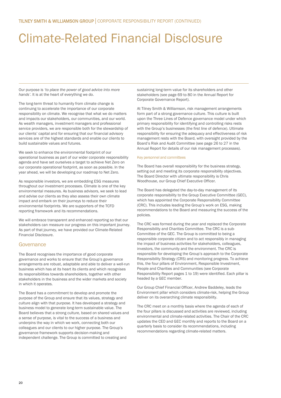# Climate-Related Financial Disclosure

Our purpose is *'to place the power of good advice into more hands'*. It is at the heart of everything we do.

The long-term threat to humanity from climate change is continuing to accelerate the importance of our corporate responsibility on climate. We recognise that what we do matters and impacts our stakeholders, our communities, and our world. As wealth managers, investment managers and professional service providers, we are responsible both for the stewardship of our clients' capital and for ensuring that our financial advisory services are of the highest standards and enable our clients to build sustainable values and futures.

We seek to enhance the environmental footprint of our operational business as part of our wider corporate responsibility agenda and have set ourselves a target to achieve Net Zero on our corporate operational footprint, as soon as possible. In the year ahead, we will be developing our roadmap to Net Zero.

As responsible investors, we are embedding ESG measures throughout our investment processes. Climate is one of the key environmental measures. As business advisors, we seek to lead and advise our clients as they also assess their own climate impact and embark on their journeys to reduce their environmental footprints. We are supporters of the TCFD reporting framework and its recommendations.

We will embrace transparent and enhanced reporting so that our stakeholders can measure our progress on this important journey. As part of that journey, we have provided our Climate-Related Financial Disclosure.

# Governance

The Board recognises the importance of good corporate governance and works to ensure that the Group's governance arrangements are robust, adaptable and able to deliver a well-run business which has at its heart its clients and which recognises its responsibilities towards shareholders, together with other stakeholders in the business and the wider markets and society in which it operates.

The Board has a commitment to develop and promote the purpose of the Group and ensure that its values, strategy and culture align with that purpose. It has developed a strategy and business model to generate long-term sustainable value. The Board believes that a strong culture, based on shared values and a sense of purpose, is vital to the success of a business and underpins the way in which we work, connecting both our colleagues and our clients to our higher purpose. The Group's governance framework supports decision-making and independent challenge. The Group is committed to creating and

sustaining long-term value for its shareholders and other stakeholders (see page 69 to 80 in the Annual Report for Corporate Governance Report).

At Tilney Smith & Williamson, risk management arrangements form part of a strong governance culture. This culture is built upon the Three Lines of Defence governance model under which primary responsibility for identifying and controlling risks rests with the Group's businesses (the first line of defence). Ultimate responsibility for ensuring the adequacy and effectiveness of risk management rests with the Board, with oversight provided by the Board's Risk and Audit Committee (see page 26 to 27 in the Annual Report for details of our risk management processes).

#### Key personnel and committees

The Board has overall responsibility for the business strategy, setting out and meeting its corporate responsibility objectives. The Board Director with ultimate responsibility is Chris Woodhouse, our Group Chief Executive Officer.

The Board has delegated the day-to-day management of its corporate responsibility to the Group Executive Committee (GEC), which has appointed the Corporate Responsibility Committee (CRC). This includes leading the Group's work on ESG, making recommendations to the Board and measuring the success of the policies.

The CRC was formed during the year and replaced the Corporate Responsibility and Charities Committee. The CRC is a sub-Committee of the GEC. The Group is committed to being a responsible corporate citizen and to act responsibly in managing the impact of business activities for stakeholders, colleagues, investors, the community and the environment. The CRC is responsible for developing the Group's approach to the Corporate Responsibility Strategy (CRS) and monitoring progress. To achieve this, the four pillars of Environment, Responsible Investment, People and Charities and Communities (see Corporate Responsibility Report pages 1 to 19) were identified. Each pillar is headed by a GEC member.

Our Group Chief Financial Officer, Andrew Baddeley, leads the Environment pillar which considers climate-risk, helping the Group deliver on its overarching climate responsibility.

The CRC meet on a monthly basis where the agenda of each of the four pillars is discussed and activities are reviewed, including environmental and climate-related activities. The Chair of the CRC updates the CEO and GEC monthly and reports to the Board on a quarterly basis to consider its recommendations, including recommendations regarding climate-related matters.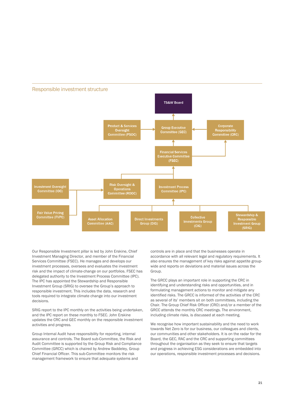

Our Responsible Investment pillar is led by John Erskine, Chief Investment Managing Director, and member of the Financial Services Committee (FSEC). He manages and develops our investment processes, oversees and evaluates the investment risk and the impact of climate-change on our portfolios. FSEC has delegated authority to the Investment Process Committee (IPC). The IPC has appointed the Stewardship and Responsible Investment Group (SRIG) to oversee the Group's approach to responsible investment. This includes the data, research and tools required to integrate climate change into our investment decisions.

SRIG report to the IPC monthly on the activities being undertaken, and the IPC report on these monthly to FSEC. John Erskine updates the CRC and GEC monthly on the responsible investment activities and progress.

Group Internal Audit have responsibility for reporting, internal assurance and controls. The Board sub-Committee, the Risk and Audit Committee is supported by the Group Risk and Compliance Committee (GRCC) which is chaired by Andrew Baddeley, Group Chief Financial Officer. This sub-Committee monitors the risk management framework to ensure that adequate systems and

controls are in place and that the businesses operate in accordance with all relevant legal and regulatory requirements. It also ensures the management of key risks against appetite groupwide and reports on deviations and material issues across the Group.

The GRCC plays an important role in supporting the CRC in identifying and understanding risks and opportunities, and in formulating management actions to monitor and mitigate any identified risks. The GRCC is informed of the activities of the CRC as several of its' members sit on both committees, including the Chair. The Group Chief Risk Officer (CRO) and/or a member of the GRCC attends the monthly CRC meetings. The environment, including climate risks, is discussed at each meeting.

We recognise how important sustainability and the need to work towards Net Zero is for our business, our colleagues and clients, our communities and other stakeholders. It is on the radar for the Board, the GEC, RAC and the CRC and supporting committees throughout the organisation as they seek to ensure that targets and progress in achieving ESG considerations are embedded into our operations, responsible investment processes and decisions.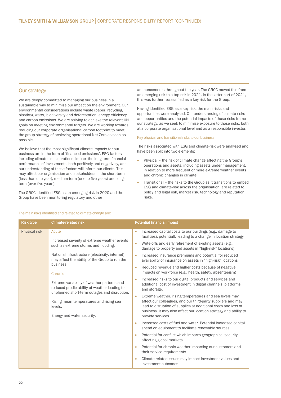## Our strategy

L

We are deeply committed to managing our business in a sustainable way to minimise our impact on the environment. Our environmental considerations include waste (paper, recycling, plastics), water, biodiversity and deforestation, energy efficiency and carbon emissions. We are striving to achieve the relevant UN goals on meeting environmental targets. We are working towards reducing our corporate organisational carbon footprint to meet the group strategy of achieving operational Net Zero as soon as possible.

We believe that the most significant climate impacts for our business are in the form of 'financed emissions'. ESG factors including climate considerations, impact the long-term financial performance of investments, both positively and negatively, and our understanding of these factors will inform our clients. This may affect our organisation and stakeholders in the short-term (less than one year), medium-term (one to five years) and longterm (over five years).

The GRCC identified ESG as an emerging risk in 2020 and the Group have been monitoring regulatory and other

announcements throughout the year. The GRCC moved this from an emerging risk to a top risk in 2021. In the latter part of 2021, this was further reclassified as a key risk for the Group.

Having identified ESG as a key risk, the main risks and opportunities were analysed. Our understanding of climate risks and opportunities and the potential impacts of those risks frame our strategy, as we seek to minimise exposure to those risks, both at a corporate organisational level and as a responsible investor.

#### Key physical and transitional risks to our business

The risks associated with ESG and climate-risk were analysed and have been split into two elements:

- Physical the risk of climate change affecting the Group's operations and assets, including assets under management, in relation to more frequent or more extreme weather events and chronic changes in climate
- Transitional the risks to the Group as it transitions to embed ESG and climate-risk across the organisation, are related to policy and legal risk, market risk, technology and reputation risks.

| <b>Risk type</b> | <b>Climate-related risk</b>                                                                                                                                                                                                                                                                                                                                                                                                                                   | <b>Potential financial impact</b>                                                                                                                                                                                                                                                                                                                                                                                                                                                                                                                                                                                                                                                                                                                                                                                                                                                                                                                                                                                                                                                                                                                                                                                                                                                                                                                                                                                                                                       |
|------------------|---------------------------------------------------------------------------------------------------------------------------------------------------------------------------------------------------------------------------------------------------------------------------------------------------------------------------------------------------------------------------------------------------------------------------------------------------------------|-------------------------------------------------------------------------------------------------------------------------------------------------------------------------------------------------------------------------------------------------------------------------------------------------------------------------------------------------------------------------------------------------------------------------------------------------------------------------------------------------------------------------------------------------------------------------------------------------------------------------------------------------------------------------------------------------------------------------------------------------------------------------------------------------------------------------------------------------------------------------------------------------------------------------------------------------------------------------------------------------------------------------------------------------------------------------------------------------------------------------------------------------------------------------------------------------------------------------------------------------------------------------------------------------------------------------------------------------------------------------------------------------------------------------------------------------------------------------|
| Physical risk    | Acute<br>Increased severity of extreme weather events<br>such as extreme storms and flooding.<br>National infrastructure (electricity, internet)<br>may affect the ability of the Group to run the<br>business.<br>Chronic<br>Extreme variability of weather patterns and<br>reduced predictability of weather leading to<br>unplanned short-term outages and disruption.<br>Rising mean temperatures and rising sea<br>levels.<br>Energy and water security. | Increased capital costs to our buildings (e.g., damage to<br>$\bullet$<br>facilities), potentially leading to a change in location strategy<br>Write-offs and early retirement of existing assets (e.g.,<br>$\bullet$<br>damage to property and assets in "high-risk" locations)<br>Increased insurance premiums and potential for reduced<br>$\bullet$<br>availability of insurance on assets in "high-risk" locations<br>Reduced revenue and higher costs because of negative<br>$\bullet$<br>impacts on workforce (e.g., health, safety, absenteeism)<br>Increased risks to our digital products and services and<br>$\bullet$<br>additional cost of investment in digital channels, platforms<br>and storage.<br>Extreme weather, rising temperatures and sea levels may<br>$\bullet$<br>affect our colleagues, and our third-party suppliers and may<br>lead to disruption of supplies at additional costs and loss of<br>business. It may also affect our location strategy and ability to<br>provide services<br>Increased costs of fuel and water. Potential increased capital<br>$\bullet$<br>spend on equipment to facilitate renewable sources<br>Potential for conflict which impacts geographical security<br>$\bullet$<br>affecting global markets<br>Potential for chronic weather impacting our customers and<br>$\bullet$<br>their service requirements<br>Climate-related issues may impact investment values and<br>$\bullet$<br>investment outcomes |

#### The main risks identified and related to climate change are: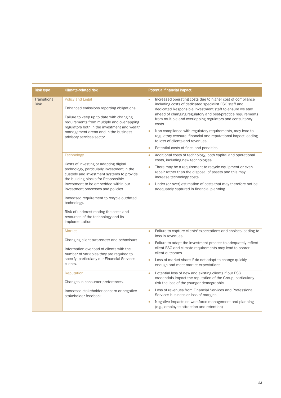| <b>Risk type</b>                   | <b>Climate-related risk</b>                                                                                                                                                                                                                                                  | <b>Potential financial impact</b>                                                                                                                                                                                                                                                                                                                                                                                                                                                        |
|------------------------------------|------------------------------------------------------------------------------------------------------------------------------------------------------------------------------------------------------------------------------------------------------------------------------|------------------------------------------------------------------------------------------------------------------------------------------------------------------------------------------------------------------------------------------------------------------------------------------------------------------------------------------------------------------------------------------------------------------------------------------------------------------------------------------|
| <b>Transitional</b><br><b>Risk</b> | Policy and Legal<br>Enhanced emissions reporting obligations.<br>Failure to keep up to date with changing<br>requirements from multiple and overlapping<br>regulators both in the investment and wealth<br>management arena and in the business<br>advisory services sector. | Increased operating costs due to higher cost of compliance<br>including costs of dedicated specialist ESG staff and<br>dedicated Responsible Investment staff to ensure we stay<br>ahead of changing regulatory and best-practice requirements<br>from multiple and overlapping regulators and consultancy<br>costs<br>Non-compliance with regulatory requirements, may lead to<br>۰<br>regulatory censure, financial and reputational impact leading<br>to loss of clients and revenues |
|                                    |                                                                                                                                                                                                                                                                              | Potential costs of fines and penalties<br>$\bullet$                                                                                                                                                                                                                                                                                                                                                                                                                                      |
|                                    | Technology                                                                                                                                                                                                                                                                   | Additional costs of technology, both capital and operational<br>۰<br>costs, including new technologies                                                                                                                                                                                                                                                                                                                                                                                   |
|                                    | Costs of investing or adapting digital<br>technology, particularly investment in the<br>custody and investment systems to provide<br>the building blocks for Responsible                                                                                                     | There may be a requirement to recycle equipment or even<br>$\bullet$<br>repair rather than the disposal of assets and this may<br>increase technology costs                                                                                                                                                                                                                                                                                                                              |
|                                    | Investment to be embedded within our<br>investment processes and policies.                                                                                                                                                                                                   | Under (or over) estimation of costs that may therefore not be<br>$\bullet$<br>adequately captured in financial planning                                                                                                                                                                                                                                                                                                                                                                  |
|                                    | Increased requirement to recycle outdated<br>technology.                                                                                                                                                                                                                     |                                                                                                                                                                                                                                                                                                                                                                                                                                                                                          |
|                                    | Risk of underestimating the costs and<br>resources of the technology and its<br>implementation.                                                                                                                                                                              |                                                                                                                                                                                                                                                                                                                                                                                                                                                                                          |
|                                    | Market                                                                                                                                                                                                                                                                       | Failure to capture clients' expectations and choices leading to<br>$\bullet$<br>loss in revenues                                                                                                                                                                                                                                                                                                                                                                                         |
|                                    | Changing client awareness and behaviours.                                                                                                                                                                                                                                    | Failure to adapt the investment process to adequately reflect                                                                                                                                                                                                                                                                                                                                                                                                                            |
|                                    | Information overload of clients with the<br>number of variables they are required to                                                                                                                                                                                         | client ESG and climate requirements may lead to poorer<br>client outcomes                                                                                                                                                                                                                                                                                                                                                                                                                |
|                                    | specify, particularly our Financial Services<br>clients.                                                                                                                                                                                                                     | Loss of market share if do not adapt to change quickly<br>$\bullet$<br>enough and meet market expectations                                                                                                                                                                                                                                                                                                                                                                               |
|                                    | Reputation<br>Changes in consumer preferences.                                                                                                                                                                                                                               | Potential loss of new and existing clients if our ESG<br>$\bullet$<br>credentials impact the reputation of the Group, particularly<br>risk the loss of the younger demographic                                                                                                                                                                                                                                                                                                           |
|                                    | Increased stakeholder concern or negative<br>stakeholder feedback.                                                                                                                                                                                                           | Loss of revenues from Financial Services and Professional<br>٠<br>Services business or loss of margins                                                                                                                                                                                                                                                                                                                                                                                   |
|                                    |                                                                                                                                                                                                                                                                              | Negative impacts on workforce management and planning<br>$\bullet$<br>(e.g., employee attraction and retention)                                                                                                                                                                                                                                                                                                                                                                          |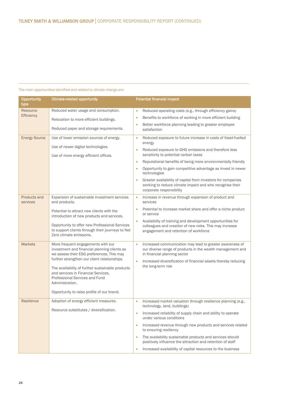# The main opportunities identified and related to climate change are:

| Opportunity<br>type      | <b>Climate-related opportunity</b>                                                                                                                                                                                                                                                                                                                                            | <b>Potential financial impact</b>                                                                                                                                                                                                                                                                                                                                                                                                                                                                             |
|--------------------------|-------------------------------------------------------------------------------------------------------------------------------------------------------------------------------------------------------------------------------------------------------------------------------------------------------------------------------------------------------------------------------|---------------------------------------------------------------------------------------------------------------------------------------------------------------------------------------------------------------------------------------------------------------------------------------------------------------------------------------------------------------------------------------------------------------------------------------------------------------------------------------------------------------|
| Resource<br>Efficiency   | Reduced water usage and consumption.<br>Relocation to more efficient buildings.<br>Reduced paper and storage requirements.                                                                                                                                                                                                                                                    | Reduced operating costs (e.g., through efficiency gains)<br>$\bullet$<br>Benefits to workforce of working in more efficient building<br>$\bullet$<br>Better workforce planning leading to greater employee<br>۰<br>satisfaction                                                                                                                                                                                                                                                                               |
| <b>Energy Source</b>     | Use of lower emission sources of energy.<br>Use of newer digital technologies.<br>Use of more energy efficient offices.                                                                                                                                                                                                                                                       | Reduced exposure to future increase in costs of fossil-fuelled<br>۰<br>energy<br>Reduced exposure to GHG emissions and therefore less<br>۰<br>sensitivity to potential carbon taxes<br>Reputational benefits of being more environmentally friendly<br>$\bullet$<br>Opportunity to gain competitive advantage as invest in newer<br>۰<br>technologies<br>Greater availability of capital from investors for companies<br>working to reduce climate impact and who recognise their<br>corporate responsibility |
| Products and<br>services | Expansion of sustainable investment services<br>and products.<br>Potential to attract new clients with the<br>introduction of new products and services.<br>Opportunity to offer new Professional Services<br>to support clients through their journeys to Net<br>Zero climate emissions.                                                                                     | Increase in revenue through expansion of product and<br>۰<br>services<br>Potential to increase market share and offer a niche product<br>or service<br>Availability of training and development opportunities for<br>۰<br>colleagues and creation of new roles. This may increase<br>engagement and retention of workforce                                                                                                                                                                                    |
| <b>Markets</b>           | More frequent engagements with our<br>investment and financial planning clients as<br>we assess their ESG preferences. This may<br>further strengthen our client relationships.<br>The availability of further sustainable products<br>and services in Financial Services,<br>Professional Services and Fund<br>Administration.<br>Opportunity to raise profile of our brand. | Increased communication may lead to greater awareness of<br>$\bullet$<br>our diverse range of products in the wealth management and<br>in financial planning sector<br>Increased diversification of financial assets thereby reducing<br>$\bullet$<br>the long-term risk                                                                                                                                                                                                                                      |
| Resilience               | Adoption of energy efficient measures.<br>Resource substitutes / diversification.                                                                                                                                                                                                                                                                                             | Increased market valuation through resilience planning (e.g.,<br>٠<br>technology, land, buildings)<br>Increased reliability of supply chain and ability to operate<br>under various conditions<br>Increased revenue through new products and services related<br>$\bullet$<br>to ensuring resiliency<br>The availability sustainable products and services should<br>۰<br>positively influence the attraction and retention of staff<br>Increased availability of capital resources to the business<br>۰      |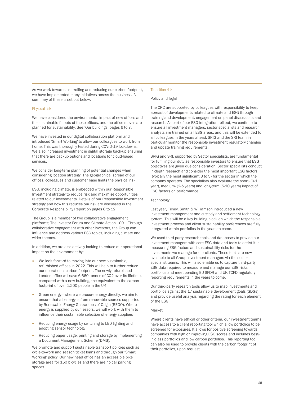As we work towards controlling and reducing our carbon footprint, we have implemented many initiatives across the business. A summary of these is set out below.

#### Physical risk

We have considered the environmental impact of new offices and the sustainable fit-outs of those offices, and the office moves are planned for sustainability. See 'Our buildings' pages 6 to 7.

We have invested in our digital collaboration platform and introduced 'Smart Working' to allow our colleagues to work from home. This was thoroughly tested during COVID-19 lockdowns. We also increased investment in digital storage back-up ensuring that there are backup options and locations for cloud-based services.

We consider long-term planning of potential changes when considering location strategy. The geographical spread of our offices, colleagues and customer base limits the physical risk.

ESG, including climate, is embedded within our Responsible Investment strategy to reduce risk and maximise opportunities related to our investments. Details of our Responsible Investment strategy and how this reduces our risk are discussed in the Corporate Responsibility Report on pages 8 to 12.

The Group is a member of two collaborative engagement platforms; The Investor Forum and Climate Action 100+. Through collaborative engagement with other investors, the Group can influence and address various ESG topics, including climate and wider themes.

In addition, we are also actively looking to reduce our operational impact on the environment by:

- We look forward to moving into our new sustainable, refurbished offices in 2022. This will help to further reduce our operational carbon footprint. The newly refurbished London office will save 6,660 tonnes of CO2 over its lifetime, compared with a new building, the equivalent to the carbon footprint of over 1,200 people in the UK
- Green energy where we procure energy directly, we aim to ensure that all energy is from renewable sources supported by Renewable Energy Guarantees of Origin (REGO). Where energy is supplied by our lessors, we will work with them to influence their sustainable selection of energy suppliers
- Reducing energy usage by switching to LED lighting and adopting sensor technology
- Reducing paper usage, printing and storage by implementing a Document Management Scheme (DMS).

We promote and support sustainable transport policies such as cycle-to-work and season ticket loans and through our 'Smart Working' policy. Our new head office has an accessible bike storage area for 150 bicycles and there are no car parking spaces.

## Transition risk

#### Policy and legal

The CRC are supported by colleagues with responsibility to keep abreast of developments related to climate and ESG through training and development, engagement on panel discussions and research. As part of our ESG integration roll out, we continue to ensure all investment managers, sector specialists and research analysts are trained on all ESG areas, and this will be extended to all colleagues in the years ahead. SRIG and the SRI team in particular monitor the responsible investment regulatory changes and update training requirements.

SRIG and SRI, supported by Sector specialists, are fundamental for fulfilling our duty as responsible investors to ensure that ESG objectives are given due consideration. Sector specialists conduct in-depth research and consider the most important ESG factors (typically the most significant 3 to 5) for the sector in which the company operates. The specialists also evaluate the short- (0-1 year), medium- (2-5 years) and long-term (5-10 years) impact of ESG factors on performance.

#### **Technology**

Last year, Tilney, Smith & Williamson introduced a new investment management and custody and settlement technology system. This will be a key building block on which the responsible investment process and client sustainability preferences are fully integrated within portfolios in the years to come.

We used third-party research tools and databases to provide our investment managers with core ESG data and tools to assist it in measuring ESG factors and sustainability risks for the investments we manage for our clients. These tools are now available to all Group investment managers via the sector specialist teams. This will also enable us to capture third-party ESG data required to measure and manage our ESG risks in portfolios and meet pending EU SFDR and UK TCFD regulatory reporting requirements in the years to come.

Our third-party research tools allow us to map investments and portfolios against the 17 sustainable development goals (SDGs) and provide useful analysis regarding the rating for each element of the ESG.

#### Market

Where clients have ethical or other criteria, our investment teams have access to a client reporting tool which allow portfolios to be screened for exposures. It allows for positive screening towards companies with high or improving ESG scores and includes bestin-class portfolios and low carbon portfolios. This reporting tool can also be used to provide clients with the carbon footprint of their portfolios, upon request.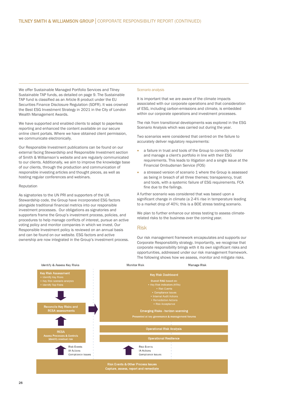We offer Sustainable Managed Portfolio Services and Tilney Sustainable TAP funds, as detailed on page 9. The Sustainable TAP fund is classified as an Article 8 product under the EU Securities Finance Disclosure Regulation (SDFR). It was crowned the Best ESG Investment Strategy in 2021 in the City of London Wealth Management Awards.

We have supported and enabled clients to adapt to paperless reporting and enhanced the content available on our secure online client portals. Where we have obtained client permission, we communicate electronically.

Our Responsible Investment publications can be found on our external facing Stewardship and Responsible Investment section of Smith & Williamson's website and are regularly communicated to our clients. Additionally, we aim to improve the knowledge base of our clients, through the production and communication of responsible investing articles and thought pieces, as well as hosting regular conferences and webinars.

#### Reputation

As signatories to the UN PRI and supporters of the UK Stewardship code, the Group have incorporated ESG factors alongside traditional financial metrics into our responsible investment processes. Our obligations as signatories and supporters frame the Group's investment process, policies, and procedures to help manage conflicts of interest, pursue an active voting policy and monitor companies in which we invest. Our Responsible Investment policy is reviewed on an annual basis and can be found on our website. ESG factors and active ownership are now integrated in the Group's investment process.

#### Scenario analysis

It is important that we are aware of the climate impacts associated with our corporate operations and that consideration of ESG, including carbon-emissions and climate, is embedded within our corporate operations and investment processes.

The risk from transitional developments was explored in the ESG Scenario Analysis which was carried out during the year.

Two scenarios were considered that centred on the failure to accurately deliver regulatory requirements:

- a failure in trust and tools of the Group to correctly monitor and manage a client's portfolio in line with their ESG requirements. This leads to litigation and a single issue at the Financial Ombudsman Service (FOS)
- a stressed version of scenario 1 where the Group is assessed as being in breach of all three themes; transparency, trust and tools, with a systemic failure of ESG requirements. FCA fine due to the failings.

A further scenario was considered that was based upon a significant change in climate (a 2-4% rise in temperature leading to a market drop of 40%; this is a BOE stress testing scenario.

We plan to further enhance our stress testing to assess climaterelated risks to the business over the coming year.

#### Risk

Our risk management framework encapsulates and supports our Corporate Responsibility strategy. Importantly, we recognise that corporate responsibility brings with it its own significant risks and opportunities, addressed under our risk management framework. The following shows how we assess, monitor and mitigate risks.

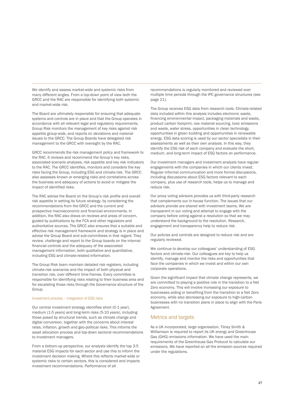We identify and assess market-wide and systemic risks from many different angles. From a top-down point of view both the GRCC and the RAC are responsible for identifying both systemic and market-wide risk.

The Board are ultimately responsible for ensuring that adequate systems and controls are in place and that the Group operates in accordance with all relevant legal and regulatory requirements. Group Risk monitors the management of key risks against risk appetite group-wide, and reports on deviations and material issues to the GRCC. The Group Boards have delegated risk management to the GRCC with oversight by the RAC.

GRCC recommends the risk management policy and framework to the RAC. It reviews and recommend the Group's key risks, associated scenario analyses, risk appetite and key risk indicators to the RAC. The GRCC identifies, monitors and considers the key risks facing the Group, including ESG and climate-risk. The GRCC also assesses known or emerging risks and correlations across the business and adequacy of actions to avoid or mitigate the impact of identified risks.

The RAC advise the Board on the Group's risk profile and overall risk appetite in setting its future strategy, by considering the recommendations from the GRCC and the current and prospective macroeconomic and financial environments. In addition, the RAC also draws on reviews and areas of concern, guided by publications by the FCA and other regulators and authoritative sources. The GRCC also ensures that a suitable and effective risk management framework and strategy is in place and advise the Group Board and sub-committees in that regard. They review, challenge and report to the Group boards on the internal financial controls and the adequacy of the associated management information, both qualitative and quantitative, including ESG and climate-related information.

The Group Risk team maintain detailed risk registers, including climate-risk scenarios and the impact of both physical and transition risk, over different time frames. Every committee is responsible for identifying risks relating to their business area and for escalating those risks through the Governance structure of the Group.

#### Investment process – integration of ESG risks

Our central investment strategy identifies short (0-1 year), medium (1-5 years) and long-term risks (5-10 years), including those posed by structural trends, such as climate change and digital conversion, together with the concerns about interest rates, inflation, growth and geo-political risks. This informs the asset allocation process and top-down sectoral recommendations to investment managers.

From a bottom-up perspective, our analysts identify the top 3-5 material ESG impacts for each sector and use this to inform the investment decision making. Where this reflects market-wide or systemic risks to certain sectors, this is considered and impacts investment recommendations. Performance of all

recommendations is regularly monitored and reviewed over multiple time periods through the IPC governance structures (see page 21).

The Group receives ESG data from research tools. Climate-related data included within this analysis includes electronic waste, financing environmental impact, packaging materials and waste, product carbon footprint, raw material sourcing, toxic emissions and waste, water stress, opportunities in clean technology, opportunities in green building and opportunities in renewable energy. ESG data scoring is used by our sector specialists in their assessments as well as their own analysis. In this way, they identify the ESG risk of each company and evaluate the short, medium, and long-term impact of ESG factors on performance.

Our investment managers and investment analysts have regular engagements with the companies in which our clients invest. Regular informal communication and more formal discussions, including discussions about ESG factors relevant to each company, plus use of research tools, helps us to manage and reduce risk.

Our proxy voting advisors provides us with third-party research that complements our in-house function. The issues that our advisors provide are shared with investment teams. We are transparent in our voting and attempt to engage with the company before voting against a resolution so that we may understand the background to the resolution. Research, engagement and transparency help to reduce risk.

Our policies and controls are designed to reduce risk and are regularly reviewed.

We continue to develop our colleagues' understanding of ESG factors and climate-risk. Our colleagues are key to help us identify, manage and monitor the risks and opportunities that face the companies in which we invest and within our own corporate operations.

Given the significant impact that climate change represents, we are committed to playing a positive role in the transition to a Net Zero economy. This will involve increasing our exposure to businesses aiding or benefiting from the transition to a Net Zero economy, while also decreasing our exposure to high-carbon businesses with no transition plans in place to align with the Paris Agreement.

## Metrics and targets

As a UK incorporated, large organisation, Tilney Smith & Williamson is required to report its UK energy and Greenhouse Gas (GHG) emissions information. We have used the main requirements of the Greenhouse Gas Protocol to calculate our emissions. We have reported on all the emission sources required under the regulations.